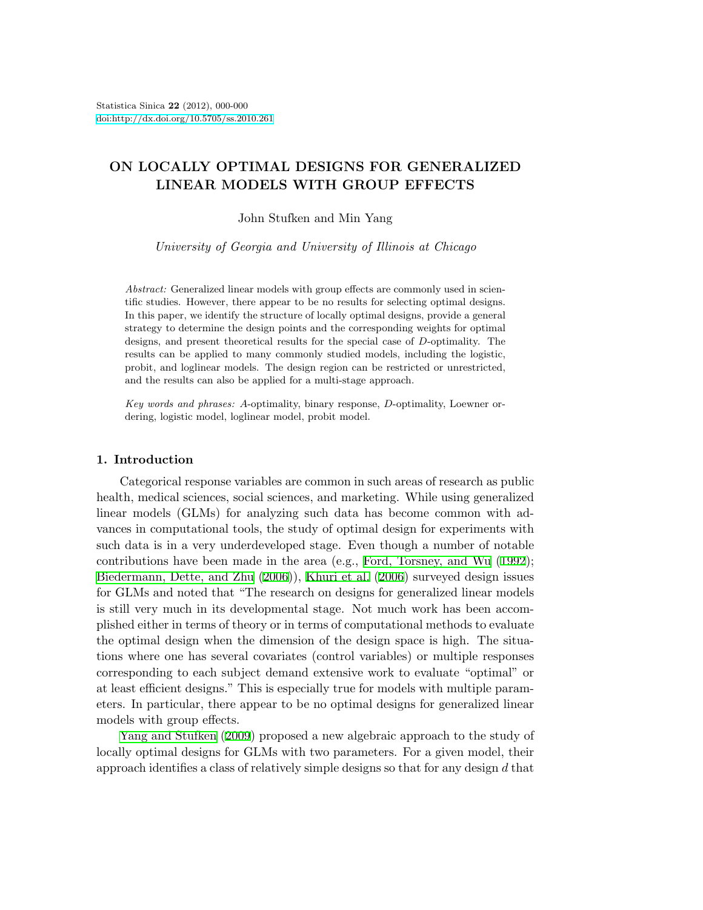# **ON LOCALLY OPTIMAL DESIGNS FOR GENERALIZED LINEAR MODELS WITH GROUP EFFECTS**

John Stufken and Min Yang

*University of Georgia and University of Illinois at Chicago*

*Abstract:* Generalized linear models with group effects are commonly used in scientific studies. However, there appear to be no results for selecting optimal designs. In this paper, we identify the structure of locally optimal designs, provide a general strategy to determine the design points and the corresponding weights for optimal designs, and present theoretical results for the special case of *D*-optimality. The results can be applied to many commonly studied models, including the logistic, probit, and loglinear models. The design region can be restricted or unrestricted, and the results can also be applied for a multi-stage approach.

*Key words and phrases: A*-optimality, binary response, *D*-optimality, Loewner ordering, logistic model, loglinear model, probit model.

## **1. Introduction**

Categorical response variables are common in such areas of research as public health, medical sciences, social sciences, and marketing. While using generalized linear models (GLMs) for analyzing such data has become common with advances in computational tools, the study of optimal design for experiments with such data is in a very underdeveloped stage. Even though a number of notable contributions have been made in the area (e.g., [Ford, Torsney, and Wu](#page-21-0) [\(1992](#page-21-0)); [Biedermann, Dette, and Zhu](#page-20-0) [\(2006](#page-20-0))), [Khuri et al.](#page-21-1) [\(2006\)](#page-21-1) surveyed design issues for GLMs and noted that "The research on designs for generalized linear models is still very much in its developmental stage. Not much work has been accomplished either in terms of theory or in terms of computational methods to evaluate the optimal design when the dimension of the design space is high. The situations where one has several covariates (control variables) or multiple responses corresponding to each subject demand extensive work to evaluate "optimal" or at least efficient designs." This is especially true for models with multiple parameters. In particular, there appear to be no optimal designs for generalized linear models with group effects.

[Yang and Stufken](#page-21-2) [\(2009](#page-21-2)) proposed a new algebraic approach to the study of locally optimal designs for GLMs with two parameters. For a given model, their approach identifies a class of relatively simple designs so that for any design *d* that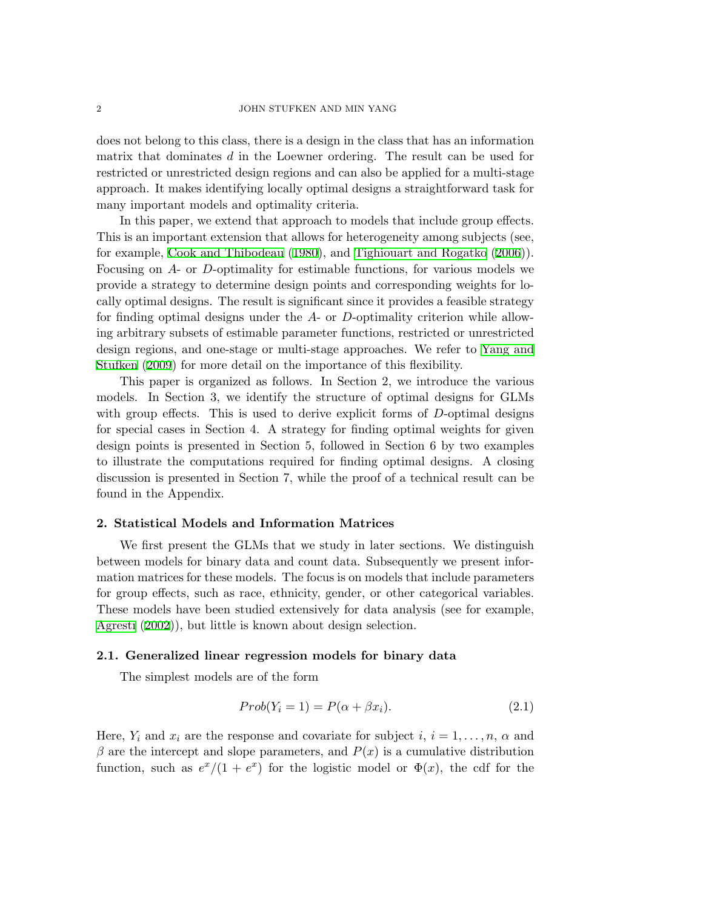does not belong to this class, there is a design in the class that has an information matrix that dominates *d* in the Loewner ordering. The result can be used for restricted or unrestricted design regions and can also be applied for a multi-stage approach. It makes identifying locally optimal designs a straightforward task for many important models and optimality criteria.

In this paper, we extend that approach to models that include group effects. This is an important extension that allows for heterogeneity among subjects (see, for example, [Cook and Thibodeau](#page-20-1) [\(1980\)](#page-20-1), and [Tighiouart and Rogatko](#page-21-3) ([2006\)](#page-21-3)). Focusing on *A*- or *D*-optimality for estimable functions, for various models we provide a strategy to determine design points and corresponding weights for locally optimal designs. The result is significant since it provides a feasible strategy for finding optimal designs under the *A*- or *D*-optimality criterion while allowing arbitrary subsets of estimable parameter functions, restricted or unrestricted design regions, and one-stage or multi-stage approaches. We refer to [Yang and](#page-21-2) [Stufken](#page-21-2) ([2009\)](#page-21-2) for more detail on the importance of this flexibility.

This paper is organized as follows. In Section 2, we introduce the various models. In Section 3, we identify the structure of optimal designs for GLMs with group effects. This is used to derive explicit forms of *D*-optimal designs for special cases in Section 4. A strategy for finding optimal weights for given design points is presented in Section 5, followed in Section 6 by two examples to illustrate the computations required for finding optimal designs. A closing discussion is presented in Section 7, while the proof of a technical result can be found in the Appendix.

# **2. Statistical Models and Information Matrices**

We first present the GLMs that we study in later sections. We distinguish between models for binary data and count data. Subsequently we present information matrices for these models. The focus is on models that include parameters for group effects, such as race, ethnicity, gender, or other categorical variables. These models have been studied extensively for data analysis (see for example, [Agresti](#page-20-2) [\(2002\)](#page-20-2)), but little is known about design selection.

### **2.1. Generalized linear regression models for binary data**

The simplest models are of the form

<span id="page-1-0"></span>
$$
Prob(Y_i = 1) = P(\alpha + \beta x_i). \tag{2.1}
$$

Here,  $Y_i$  and  $x_i$  are the response and covariate for subject  $i, i = 1, \ldots, n$ ,  $\alpha$  and  $\beta$  are the intercept and slope parameters, and  $P(x)$  is a cumulative distribution function, such as  $e^{x}/(1 + e^{x})$  for the logistic model or  $\Phi(x)$ , the cdf for the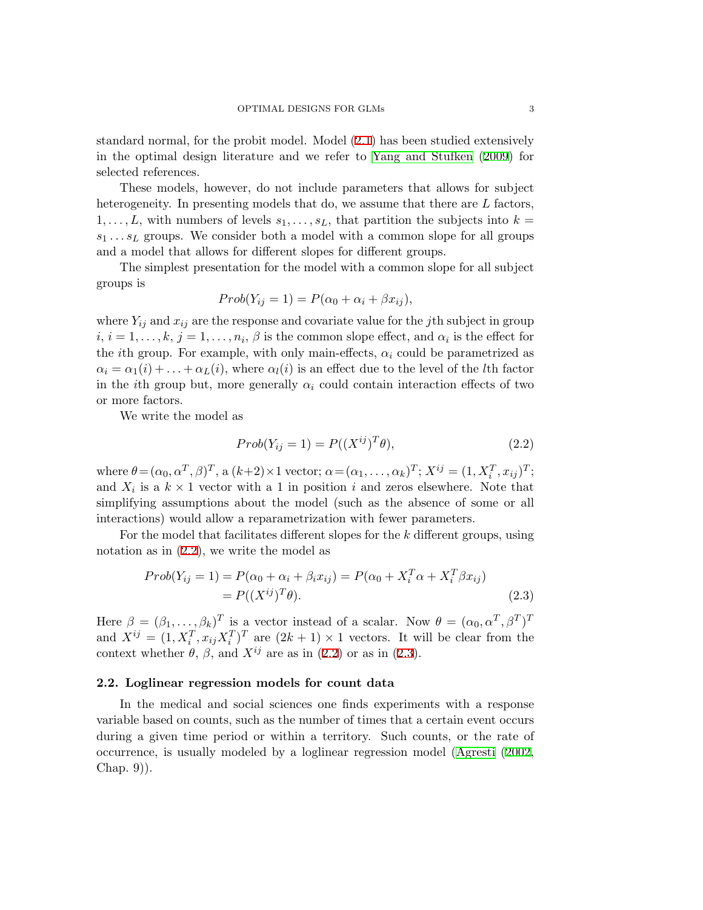standard normal, for the probit model. Model ([2.1](#page-1-0)) has been studied extensively in the optimal design literature and we refer to [Yang and Stufken](#page-21-2) [\(2009](#page-21-2)) for selected references.

These models, however, do not include parameters that allows for subject heterogeneity. In presenting models that do, we assume that there are *L* factors, 1,..., L, with numbers of levels  $s_1, \ldots, s_L$ , that partition the subjects into  $k =$  $s_1 \ldots s_L$  groups. We consider both a model with a common slope for all groups and a model that allows for different slopes for different groups.

The simplest presentation for the model with a common slope for all subject groups is

$$
Prob(Y_{ij} = 1) = P(\alpha_0 + \alpha_i + \beta x_{ij}),
$$

where  $Y_{ij}$  and  $x_{ij}$  are the response and covariate value for the *j*th subject in group  $i, i = 1, \ldots, k, j = 1, \ldots, n_i, \beta$  is the common slope effect, and  $\alpha_i$  is the effect for the *i*th group. For example, with only main-effects,  $\alpha_i$  could be parametrized as  $\alpha_i = \alpha_1(i) + \ldots + \alpha_L(i)$ , where  $\alpha_l(i)$  is an effect due to the level of the *l*th factor in the *i*th group but, more generally  $\alpha_i$  could contain interaction effects of two or more factors.

We write the model as

<span id="page-2-0"></span>
$$
Prob(Y_{ij} = 1) = P((X^{ij})^T \theta), \qquad (2.2)
$$

where  $\theta = (\alpha_0, \alpha^T, \beta)^T$ , a  $(k+2) \times 1$  vector;  $\alpha = (\alpha_1, \dots, \alpha_k)^T$ ;  $X^{ij} = (1, X_i^T, x_{ij})^T$ ; and  $X_i$  is a  $k \times 1$  vector with a 1 in position *i* and zeros elsewhere. Note that simplifying assumptions about the model (such as the absence of some or all interactions) would allow a reparametrization with fewer parameters.

For the model that facilitates different slopes for the *k* different groups, using notation as in ([2.2\)](#page-2-0), we write the model as

<span id="page-2-1"></span>
$$
Prob(Y_{ij} = 1) = P(\alpha_0 + \alpha_i + \beta_i x_{ij}) = P(\alpha_0 + X_i^T \alpha + X_i^T \beta x_{ij})
$$
  
=  $P((X^{ij})^T \theta).$  (2.3)

Here  $\beta = (\beta_1, \ldots, \beta_k)^T$  is a vector instead of a scalar. Now  $\theta = (\alpha_0, \alpha^T, \beta^T)^T$ and  $X^{ij} = (1, X_i^T, x_{ij}X_i^T)^T$  are  $(2k+1) \times 1$  vectors. It will be clear from the context whether  $\theta$ ,  $\beta$ , and  $X^{ij}$  are as in ([2.2\)](#page-2-0) or as in [\(2.3](#page-2-1)).

#### **2.2. Loglinear regression models for count data**

In the medical and social sciences one finds experiments with a response variable based on counts, such as the number of times that a certain event occurs during a given time period or within a territory. Such counts, or the rate of occurrence, is usually modeled by a loglinear regression model [\(Agresti](#page-20-2) [\(2002](#page-20-2), Chap. 9)).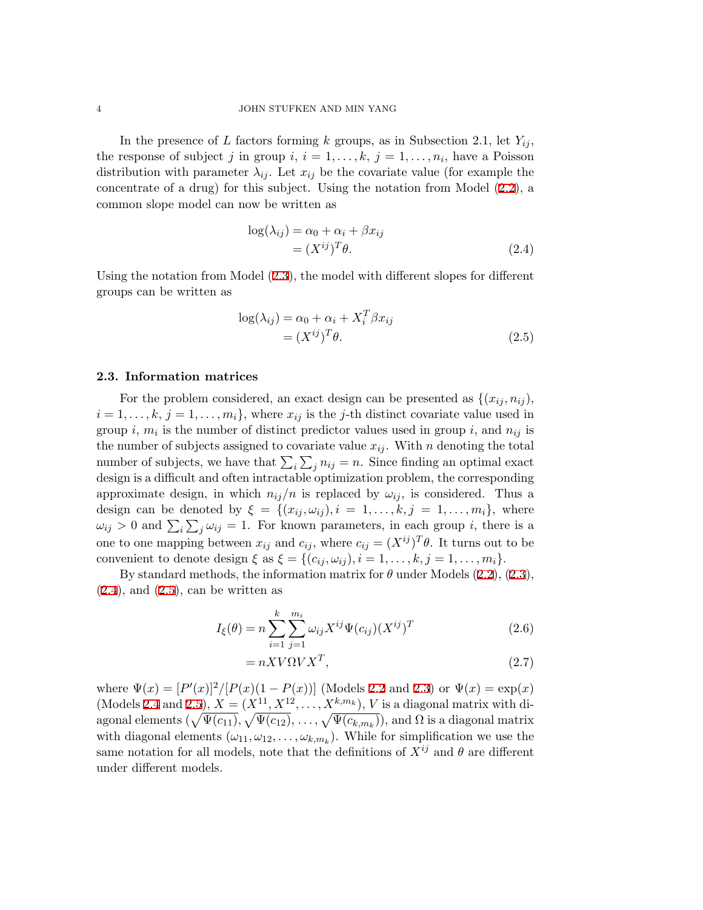In the presence of *L* factors forming *k* groups, as in Subsection 2.1, let  $Y_{ij}$ , the response of subject *j* in group  $i, i = 1, \ldots, k, j = 1, \ldots, n_i$ , have a Poisson distribution with parameter  $\lambda_{ij}$ . Let  $x_{ij}$  be the covariate value (for example the concentrate of a drug) for this subject. Using the notation from Model ([2.2\)](#page-2-0), a common slope model can now be written as

<span id="page-3-0"></span>
$$
\log(\lambda_{ij}) = \alpha_0 + \alpha_i + \beta x_{ij}
$$
  
=  $(X^{ij})^T \theta$ . (2.4)

Using the notation from Model [\(2.3](#page-2-1)), the model with different slopes for different groups can be written as

<span id="page-3-1"></span>
$$
log(\lambda_{ij}) = \alpha_0 + \alpha_i + X_i^T \beta x_{ij}
$$
  
=  $(X^{ij})^T \theta$ . (2.5)

# **2.3. Information matrices**

For the problem considered, an exact design can be presented as  $\{(x_{ij}, n_{ij})\}$  $i = 1, \ldots, k, j = 1, \ldots, m_i$ , where  $x_{ij}$  is the *j*-th distinct covariate value used in group *i*,  $m_i$  is the number of distinct predictor values used in group *i*, and  $n_{ij}$  is the number of subjects assigned to covariate value  $x_{ij}$ . With *n* denoting the total number of subjects, we have that  $\sum_i \sum_j n_{ij} = n$ . Since finding an optimal exact design is a difficult and often intractable optimization problem, the corresponding approximate design, in which  $n_{ij}/n$  is replaced by  $\omega_{ij}$ , is considered. Thus a design can be denoted by  $\xi = \{(x_{ij}, \omega_{ij}), i = 1, \ldots, k, j = 1, \ldots, m_i\}$ , where  $\omega_{ij} > 0$  and  $\sum_i \sum_j \omega_{ij} = 1$ . For known parameters, in each group *i*, there is a one to one mapping between  $x_{ij}$  and  $c_{ij}$ , where  $c_{ij} = (X^{ij})^T \theta$ . It turns out to be convenient to denote design  $\xi$  as  $\xi = \{(c_{ij}, \omega_{ij}), i = 1, \ldots, k, j = 1, \ldots, m_i\}.$ 

By standard methods, the information matrix for  $\theta$  under Models  $(2.2)$  $(2.2)$ ,  $(2.3)$  $(2.3)$ ,  $(2.4)$  $(2.4)$ , and  $(2.5)$  $(2.5)$  $(2.5)$ , can be written as

<span id="page-3-2"></span>
$$
I_{\xi}(\theta) = n \sum_{i=1}^{k} \sum_{j=1}^{m_i} \omega_{ij} X^{ij} \Psi(c_{ij}) (X^{ij})^T
$$
 (2.6)

$$
= nX V \Omega V X^T, \tag{2.7}
$$

where  $\Psi(x) = [P'(x)]^2/[P(x)(1 - P(x))]$  (Models [2.2](#page-2-0) and [2.3](#page-2-1)) or  $\Psi(x) = \exp(x)$ (Models [2.4](#page-3-0) and [2.5\)](#page-3-1),  $X = (X^{11}, X^{12}, \ldots, X^{k,m_k})$ , *V* is a diagonal matrix with diagonal elements  $(\sqrt{\Psi(c_{11})}, \sqrt{\Psi(c_{12})}, \ldots, \sqrt{\Psi(c_{k,m_k})}),$  and  $\Omega$  is a diagonal matrix with diagonal elements  $(\omega_{11}, \omega_{12}, \ldots, \omega_{k,m_k})$ . While for simplification we use the same notation for all models, note that the definitions of  $X^{ij}$  and  $\theta$  are different under different models.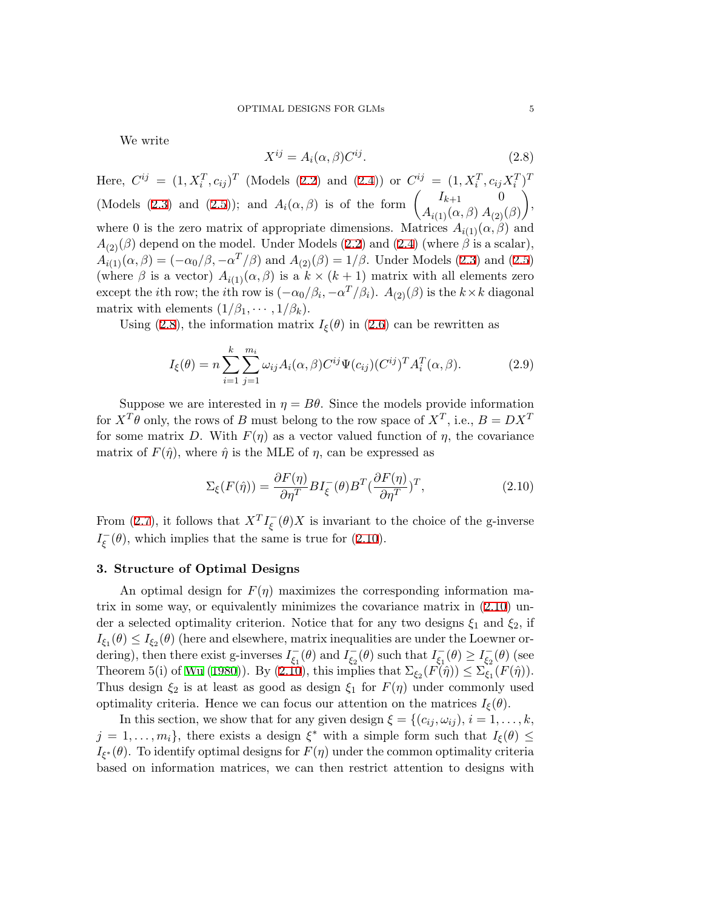<span id="page-4-0"></span>We write

<span id="page-4-2"></span>
$$
X^{ij} = A_i(\alpha, \beta)C^{ij}.
$$
\n(2.8)

Here,  $C^{ij} = (1, X_i^T, c_{ij})^T$  (Models ([2.2\)](#page-2-0) and [\(2.4](#page-3-0))) or  $C^{ij} = (1, X_i^T, c_{ij}X_i^T)^T$ (Models [\(2.3](#page-2-1)) and [\(2.5](#page-3-1))); and  $A_i(\alpha, \beta)$  is of the form  $\begin{pmatrix} I_{k+1} & 0 \\ 1 & \frac{1}{2} & 1 \end{pmatrix}$ *A*<sub>*i*(1)</sub>( $\alpha$ *, β*) *A*<sub>(2)</sub>( $\beta$ ) ) , where 0 is the zero matrix of appropriate dimensions. Matrices  $A_{i(1)}(\alpha, \beta)$  and  $A_{(2)}(\beta)$  depend on the model. Under Models ([2.2\)](#page-2-0) and ([2.4](#page-3-0)) (where  $\beta$  is a scalar),  $A_{i(1)}(\alpha, \beta) = (-\alpha_0/\beta, -\alpha^T/\beta)$  and  $A_{(2)}(\beta) = 1/\beta$ . Under Models ([2.3\)](#page-2-1) and [\(2.5](#page-3-1)) (where  $\beta$  is a vector)  $A_{i(1)}(\alpha, \beta)$  is a  $k \times (k+1)$  matrix with all elements zero except the *i*th row; the *i*th row is  $(-\alpha_0/\beta_i, -\alpha^T/\beta_i)$ .  $A_{(2)}(\beta)$  is the  $k \times k$  diagonal matrix with elements  $(1/\beta_1, \cdots, 1/\beta_k)$ .

Using [\(2.8](#page-4-0)), the information matrix  $I_{\xi}(\theta)$  in [\(2.6](#page-3-2)) can be rewritten as

$$
I_{\xi}(\theta) = n \sum_{i=1}^{k} \sum_{j=1}^{m_i} \omega_{ij} A_i(\alpha, \beta) C^{ij} \Psi(c_{ij}) (C^{ij})^T A_i^T(\alpha, \beta).
$$
 (2.9)

Suppose we are interested in  $\eta = B\theta$ . Since the models provide information for  $X^T \theta$  only, the rows of *B* must belong to the row space of  $X^T$ , i.e.,  $B = DX^T$ for some matrix *D*. With  $F(\eta)$  as a vector valued function of  $\eta$ , the covariance matrix of  $F(\hat{\eta})$ , where  $\hat{\eta}$  is the MLE of  $\eta$ , can be expressed as

<span id="page-4-1"></span>
$$
\Sigma_{\xi}(F(\hat{\eta})) = \frac{\partial F(\eta)}{\partial \eta^T} B I_{\xi}^-(\theta) B^T (\frac{\partial F(\eta)}{\partial \eta^T})^T, \qquad (2.10)
$$

From [\(2.7\)](#page-3-2), it follows that  $X^T I_{\xi}^{\text{-}}(\theta)X$  is invariant to the choice of the g-inverse  $I_{\xi}^{-}(\theta)$ , which implies that the same is true for [\(2.10\)](#page-4-1).

# **3. Structure of Optimal Designs**

An optimal design for  $F(\eta)$  maximizes the corresponding information matrix in some way, or equivalently minimizes the covariance matrix in ([2.10](#page-4-1)) under a selected optimality criterion. Notice that for any two designs  $\xi_1$  and  $\xi_2$ , if  $I_{\xi_1}(\theta) \leq I_{\xi_2}(\theta)$  (here and elsewhere, matrix inequalities are under the Loewner ordering), then there exist g-inverses  $I_{\xi_1}(\theta)$  and  $I_{\xi_2}(\theta)$  such that  $I_{\xi_1}(\theta) \ge I_{\xi_2}(\theta)$  (see Theorem 5(i) of [Wu](#page-21-4) [\(1980](#page-21-4))). By [\(2.10](#page-4-1)), this implies that  $\Sigma_{\xi_2}(F(\hat{\eta})) \leq \Sigma_{\xi_1}(F(\hat{\eta}))$ . Thus design  $\xi_2$  is at least as good as design  $\xi_1$  for  $F(\eta)$  under commonly used optimality criteria. Hence we can focus our attention on the matrices  $I_{\xi}(\theta)$ .

In this section, we show that for any given design  $\xi = \{(c_{ij}, \omega_{ij}), i = 1, \ldots, k, \}$  $j = 1, \ldots, m_i$ , there exists a design  $\xi^*$  with a simple form such that  $I_{\xi}(\theta) \leq$ *I*<sub>*ξ*<sup>\*</sup></sub>( $\theta$ ). To identify optimal designs for *F*( $\eta$ ) under the common optimality criteria based on information matrices, we can then restrict attention to designs with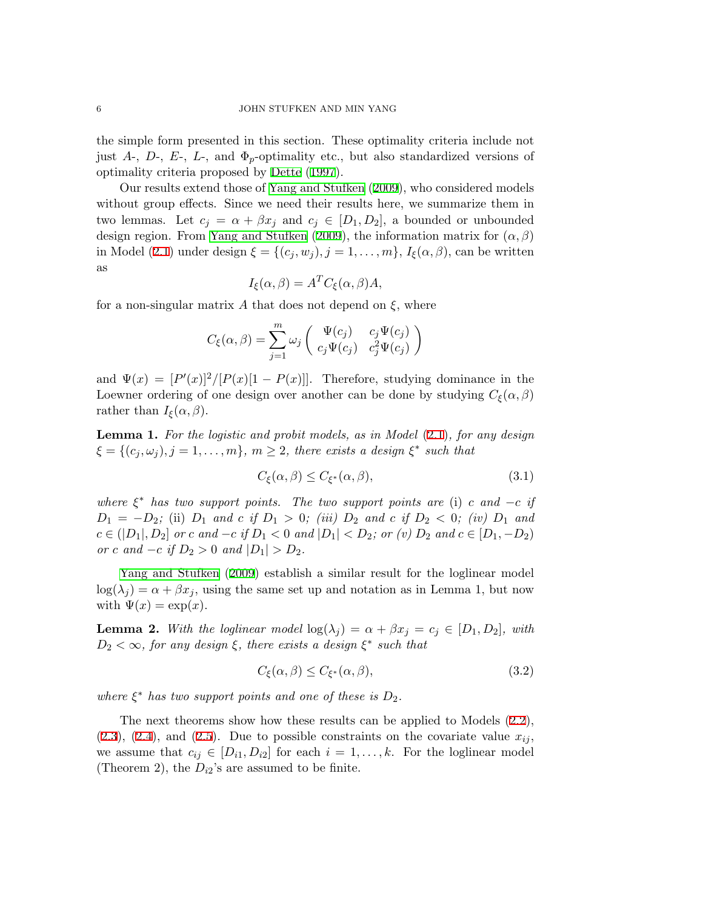the simple form presented in this section. These optimality criteria include not just  $A_1$ ,  $D_2$ ,  $E_2$ ,  $L_1$ , and  $\Phi_p$ -optimality etc., but also standardized versions of optimality criteria proposed by [Dette](#page-20-3) [\(1997](#page-20-3)).

Our results extend those of [Yang and Stufken](#page-21-2) [\(2009\)](#page-21-2), who considered models without group effects. Since we need their results here, we summarize them in two lemmas. Let  $c_j = \alpha + \beta x_j$  and  $c_j \in [D_1, D_2]$ , a bounded or unbounded design region. From [Yang and Stufken](#page-21-2) ([2009\)](#page-21-2), the information matrix for (*α, β*) in Model [\(2.1](#page-1-0)) under design  $\xi = \{(c_j, w_j), j = 1, \ldots, m\}, I_{\xi}(\alpha, \beta)$ , can be written as

$$
I_{\xi}(\alpha, \beta) = A^T C_{\xi}(\alpha, \beta) A,
$$

for a non-singular matrix *A* that does not depend on *ξ*, where

$$
C_{\xi}(\alpha,\beta)=\sum_{j=1}^m\omega_j\left(\begin{array}{cc}\Psi(c_j)&c_j\Psi(c_j)\\c_j\Psi(c_j)&c_j^2\Psi(c_j)\end{array}\right)
$$

and  $\Psi(x) = [P'(x)]^2/[P(x)[1 - P(x)]]$ . Therefore, studying dominance in the Loewner ordering of one design over another can be done by studying  $C_{\xi}(\alpha, \beta)$ rather than  $I_{\xi}(\alpha, \beta)$ .

**Lemma 1.** *For the logistic and probit models, as in Model* [\(2.1](#page-1-0))*, for any design*  $\xi = \{(c_j, \omega_j), j = 1, \ldots, m\}, m \ge 2$ , there exists a design  $\xi^*$  such that

<span id="page-5-0"></span>
$$
C_{\xi}(\alpha, \beta) \le C_{\xi^*}(\alpha, \beta),\tag{3.1}
$$

*where*  $\xi^*$  *has two support points. The two support points are* (i) *c* and  $-c$  *if*  $D_1 = -D_2$ ; (ii)  $D_1$  *and*  $c$  *if*  $D_1 > 0$ ; (*iii*)  $D_2$  *and*  $c$  *if*  $D_2 < 0$ ; (*iv*)  $D_1$  *and*  $c \in (D_1, D_2]$  or c and  $-c$  if  $D_1 < 0$  and  $|D_1| < D_2$ ; or (v)  $D_2$  and  $c \in [D_1, -D_2)$ *or c* and  $-c$  *if*  $D_2 > 0$  and  $|D_1| > D_2$ .

[Yang and Stufken](#page-21-2) ([2009\)](#page-21-2) establish a similar result for the loglinear model  $log(\lambda_i) = \alpha + \beta x_i$ , using the same set up and notation as in Lemma 1, but now with  $\Psi(x) = \exp(x)$ .

**Lemma 2.** With the loglinear model  $\log(\lambda_j) = \alpha + \beta x_j = c_j \in [D_1, D_2]$ , with  $D_2 < \infty$ , for any design  $\xi$ , there exists a design  $\xi^*$  such that

$$
C_{\xi}(\alpha, \beta) \le C_{\xi^*}(\alpha, \beta),\tag{3.2}
$$

*where*  $\xi^*$  *has two support points and one of these is*  $D_2$ *.* 

The next theorems show how these results can be applied to Models ([2.2](#page-2-0)),  $(2.3)$  $(2.3)$ ,  $(2.4)$  $(2.4)$  $(2.4)$ , and  $(2.5)$  $(2.5)$ . Due to possible constraints on the covariate value  $x_{ij}$ , we assume that  $c_{ij} \in [D_{i1}, D_{i2}]$  for each  $i = 1, \ldots, k$ . For the loglinear model (Theorem 2), the  $D_{i2}$ 's are assumed to be finite.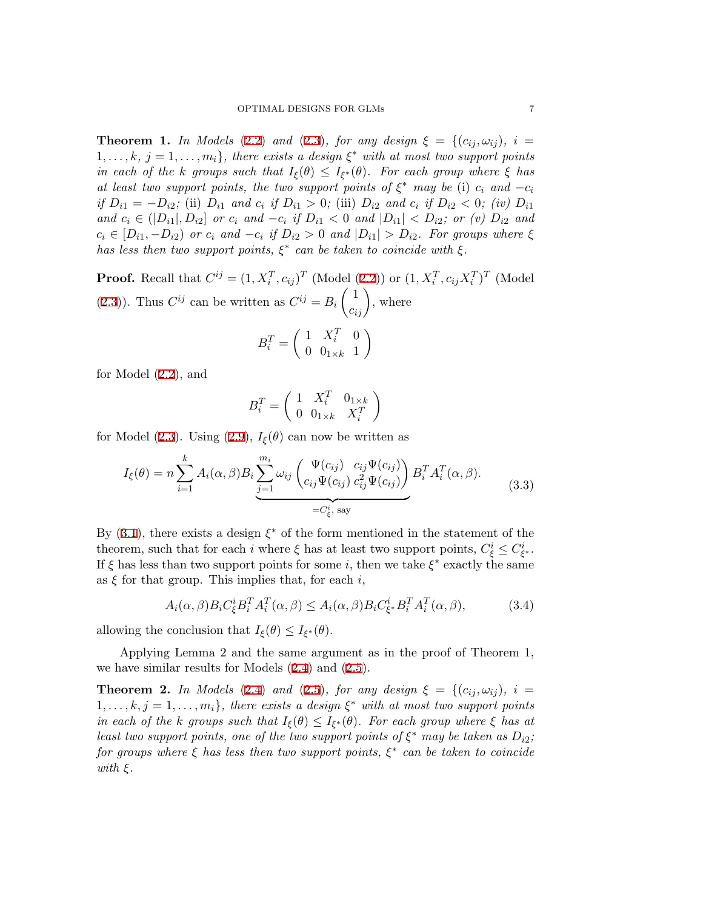**Theorem 1.** *In Models* [\(2.2](#page-2-0)) *and* [\(2.3\)](#page-2-1)*, for any design*  $\xi = \{(c_{ij}, \omega_{ij}), i =$  $1, \ldots, k, j = 1, \ldots, m_i$ , there exists a design  $\xi^*$  with at most two support points *in each of the k groups such that*  $I_{\xi}(\theta) \leq I_{\xi^*}(\theta)$ *. For each group where*  $\xi$  *has at least two support points, the two support points of*  $\xi^*$  *may be* (i)  $c_i$  *and*  $-c_i$ if  $D_{i1} = -D_{i2}$ ; (ii)  $D_{i1}$  and  $c_i$  if  $D_{i1} > 0$ ; (iii)  $D_{i2}$  and  $c_i$  if  $D_{i2} < 0$ ; (iv)  $D_{i1}$ and  $c_i \in (D_{i1}, D_{i2}]$  or  $c_i$  and  $-c_i$  if  $D_{i1} < 0$  and  $|D_{i1}| < D_{i2}$ ; or (v)  $D_{i2}$  and  $c_i \in [D_{i1}, -D_{i2})$  or  $c_i$  and  $-c_i$  if  $D_{i2} > 0$  and  $|D_{i1}| > D_{i2}$ . For groups where  $\xi$ *has less then two support points, ξ ∗ can be taken to coincide with ξ.*

**Proof.** Recall that  $C^{ij} = (1, X_i^T, c_{ij})^T$  (Model [\(2.2](#page-2-0))) or  $(1, X_i^T, c_{ij}X_i^T)^T$  (Model [\(2.3](#page-2-1))). Thus  $C^{ij}$  can be written as  $C^{ij} = B_i \begin{pmatrix} 1 \\ c_{ij} \end{pmatrix}$ , where  $1 \quad X_i^T$ 

$$
B_i^T = \left(\begin{array}{cc} 1 & X_i^T & 0\\ 0 & 0_{1 \times k} & 1 \end{array}\right)
$$

for Model [\(2.2](#page-2-0)), and

$$
B_i^T = \left(\begin{array}{cc} 1 & X_i^T & 0_{1 \times k} \\ 0 & 0_{1 \times k} & X_i^T \end{array}\right)
$$

for Model [\(2.3](#page-2-1)). Using [\(2.9](#page-4-2)),  $I_{\xi}(\theta)$  can now be written as

$$
I_{\xi}(\theta) = n \sum_{i=1}^{k} A_i(\alpha, \beta) B_i \underbrace{\sum_{j=1}^{m_i} \omega_{ij} \left( \frac{\Psi(c_{ij})}{c_{ij} \Psi(c_{ij})} \frac{c_{ij} \Psi(c_{ij})}{c_{ij}^2 \Psi(c_{ij})} \right)}_{=C_{\xi}^i, \text{ say}} B_i^T A_i^T(\alpha, \beta).
$$
 (3.3)

By [\(3.1](#page-5-0)), there exists a design *ξ ∗* of the form mentioned in the statement of the theorem, such that for each *i* where  $\xi$  has at least two support points,  $C^i_{\xi} \leq C^i_{\xi^*}$ . If  $\xi$  has less than two support points for some *i*, then we take  $\xi^*$  exactly the same as  $\xi$  for that group. This implies that, for each  $i$ ,

$$
A_i(\alpha, \beta) B_i C_{\xi}^i B_i^T A_i^T(\alpha, \beta) \le A_i(\alpha, \beta) B_i C_{\xi^*}^i B_i^T A_i^T(\alpha, \beta), \tag{3.4}
$$

allowing the conclusion that  $I_{\xi}(\theta) \leq I_{\xi^*}(\theta)$ .

Applying Lemma 2 and the same argument as in the proof of Theorem 1, we have similar results for Models [\(2.4](#page-3-0)) and ([2.5\)](#page-3-1).

**Theorem 2.** In Models [\(2.4](#page-3-0)) and [\(2.5\)](#page-3-1), for any design  $\xi = \{(c_{ii}, \omega_{ii}), i =$  $1, \ldots, k, j = 1, \ldots, m_i$ , there exists a design  $\xi^*$  with at most two support points *in each of the k groups such that*  $I_{\xi}(\theta) \leq I_{\xi^*}(\theta)$ *. For each group where*  $\xi$  *has at least two support points, one of the two support points of*  $\xi^*$  *may be taken as*  $D_{i2}$ ; *for groups where ξ has less then two support points, ξ ∗ can be taken to coincide with ξ.*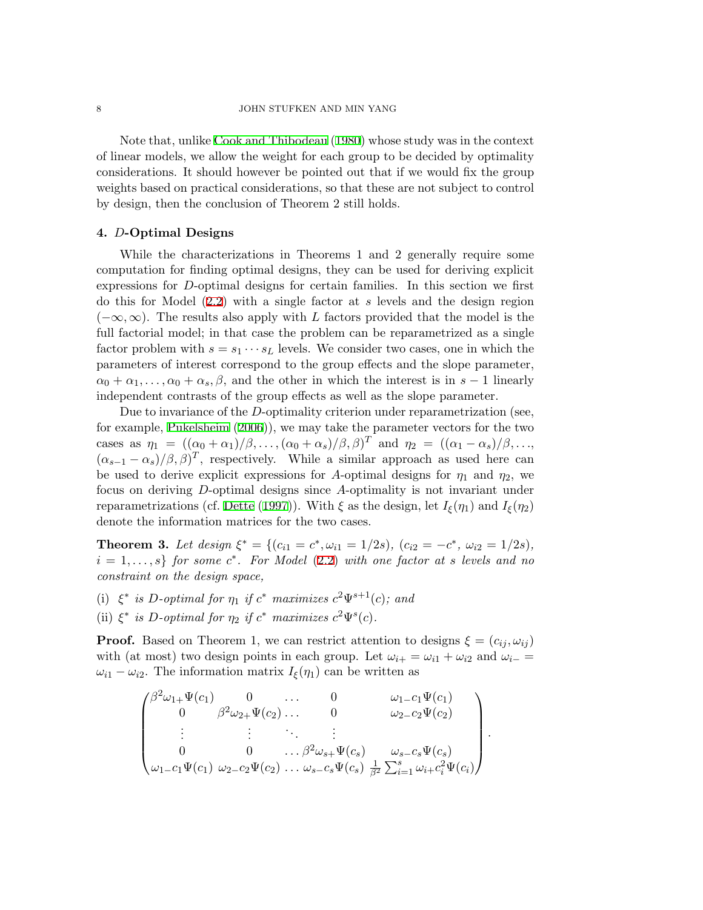Note that, unlike [Cook and Thibodeau](#page-20-1) [\(1980](#page-20-1)) whose study was in the context of linear models, we allow the weight for each group to be decided by optimality considerations. It should however be pointed out that if we would fix the group weights based on practical considerations, so that these are not subject to control by design, then the conclusion of Theorem 2 still holds.

# **4.** *D***-Optimal Designs**

While the characterizations in Theorems 1 and 2 generally require some computation for finding optimal designs, they can be used for deriving explicit expressions for *D*-optimal designs for certain families. In this section we first do this for Model ([2.2\)](#page-2-0) with a single factor at *s* levels and the design region (*−∞, ∞*). The results also apply with *L* factors provided that the model is the full factorial model; in that case the problem can be reparametrized as a single factor problem with  $s = s_1 \cdots s_L$  levels. We consider two cases, one in which the parameters of interest correspond to the group effects and the slope parameter,  $\alpha_0 + \alpha_1, \ldots, \alpha_0 + \alpha_s, \beta$ , and the other in which the interest is in  $s - 1$  linearly independent contrasts of the group effects as well as the slope parameter.

Due to invariance of the *D*-optimality criterion under reparametrization (see, for example, [Pukelsheim](#page-21-5) [\(2006](#page-21-5))), we may take the parameter vectors for the two cases as  $\eta_1 = ((\alpha_0 + \alpha_1)/\beta, \ldots, (\alpha_0 + \alpha_s)/\beta, \beta)^T$  and  $\eta_2 = ((\alpha_1 - \alpha_s)/\beta, \ldots,$  $(\alpha_{s-1} - \alpha_s)/\beta, \beta)^T$ , respectively. While a similar approach as used here can be used to derive explicit expressions for *A*-optimal designs for  $\eta_1$  and  $\eta_2$ , we focus on deriving *D*-optimal designs since *A*-optimality is not invariant under reparametrizations (cf. [Dette](#page-20-3) ([1997\)](#page-20-3)). With  $\xi$  as the design, let  $I_{\xi}(\eta_1)$  and  $I_{\xi}(\eta_2)$ denote the information matrices for the two cases.

**Theorem 3.** Let design  $\xi^* = \{ (c_{i1} = c^*, \omega_{i1} = 1/2s), (c_{i2} = -c^*, \omega_{i2} = 1/2s),$  $i = 1, \ldots, s\}$  *for some*  $c^*$ *. For Model*  $(2.2)$  $(2.2)$  *with one factor at s levels and no constraint on the design space,*

- (i)  $\xi^*$  *is D*-optimal for  $\eta_1$  *if*  $c^*$  *maximizes*  $c^2\Psi^{s+1}(c)$ *; and*
- (ii)  $\xi^*$  *is D*-optimal for  $\eta_2$  *if*  $c^*$  *maximizes*  $c^2 \Psi^s(c)$ *.*

**Proof.** Based on Theorem 1, we can restrict attention to designs  $\xi = (c_i, \omega_{ij})$ with (at most) two design points in each group. Let  $\omega_{i+} = \omega_{i1} + \omega_{i2}$  and  $\omega_{i-} =$  $\omega_{i1} - \omega_{i2}$ . The information matrix  $I_{\xi}(\eta_1)$  can be written as

$$
\begin{pmatrix}\n\beta^{2}\omega_{1+}\Psi(c_{1}) & 0 & \dots & 0 & \omega_{1-c_{1}}\Psi(c_{1}) \\
0 & \beta^{2}\omega_{2+}\Psi(c_{2}) & \dots & 0 & \omega_{2-c_{2}}\Psi(c_{2}) \\
\vdots & \vdots & \ddots & \vdots \\
0 & 0 & \dots & \beta^{2}\omega_{s+}\Psi(c_{s}) & \omega_{s-c_{s}}\Psi(c_{s}) \\
\omega_{1-c_{1}}\Psi(c_{1}) & \omega_{2-c_{2}}\Psi(c_{2}) & \dots & \omega_{s-c_{s}}\Psi(c_{s}) & \frac{1}{\beta^{2}}\sum_{i=1}^{s}\omega_{i+c_{i}^{2}}\Psi(c_{i})\n\end{pmatrix}.
$$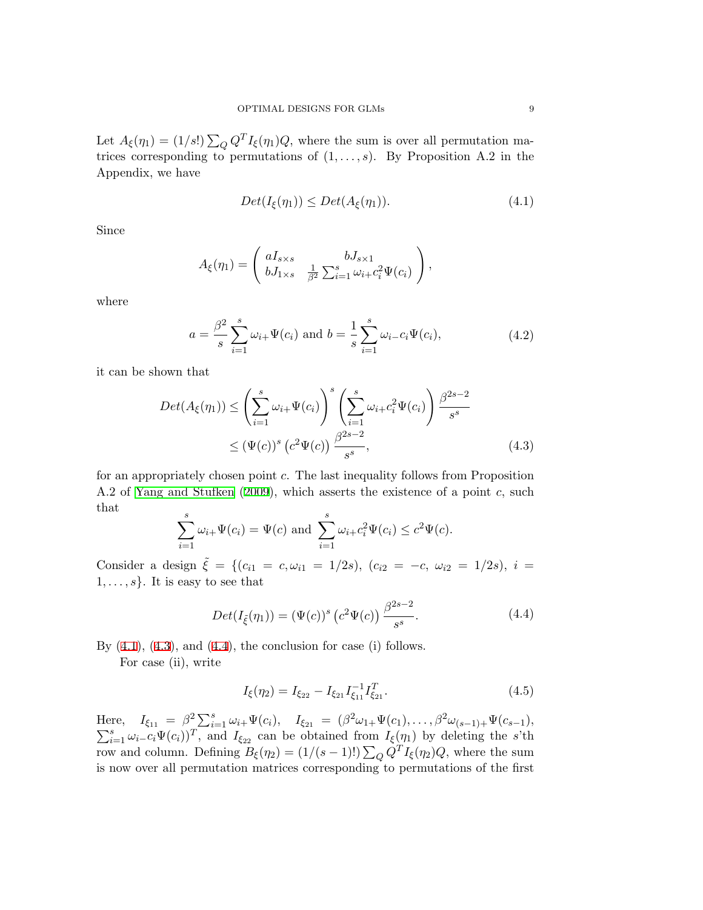Let  $A_{\xi}(\eta_1) = (1/s!) \sum_{Q} Q^{T} I_{\xi}(\eta_1) Q$ , where the sum is over all permutation matrices corresponding to permutations of  $(1, \ldots, s)$ . By Proposition A.2 in the Appendix, we have

<span id="page-8-0"></span>
$$
Det(I_{\xi}(\eta_1)) \le Det(A_{\xi}(\eta_1)). \tag{4.1}
$$

Since

$$
A_{\xi}(\eta_1) = \begin{pmatrix} aI_{s \times s} & bJ_{s \times 1} \\ bJ_{1 \times s} & \frac{1}{\beta^2} \sum_{i=1}^s \omega_{i+} c_i^2 \Psi(c_i) \end{pmatrix},
$$

where

$$
a = \frac{\beta^2}{s} \sum_{i=1}^{s} \omega_{i+} \Psi(c_i) \text{ and } b = \frac{1}{s} \sum_{i=1}^{s} \omega_{i-} c_i \Psi(c_i), \tag{4.2}
$$

it can be shown that

<span id="page-8-1"></span>
$$
Det(A_{\xi}(\eta_1)) \leq \left(\sum_{i=1}^{s} \omega_{i+} \Psi(c_i)\right)^s \left(\sum_{i=1}^{s} \omega_{i+} c_i^2 \Psi(c_i)\right) \frac{\beta^{2s-2}}{s^s} \leq (\Psi(c))^s \left(c^2 \Psi(c)\right) \frac{\beta^{2s-2}}{s^s},
$$
\n(4.3)

for an appropriately chosen point *c*. The last inequality follows from Proposition A.2 of [Yang and Stufken](#page-21-2) ([2009\)](#page-21-2), which asserts the existence of a point *c*, such that

$$
\sum_{i=1}^{s} \omega_{i+} \Psi(c_i) = \Psi(c) \text{ and } \sum_{i=1}^{s} \omega_{i+} c_i^2 \Psi(c_i) \le c^2 \Psi(c).
$$

Consider a design  $\tilde{\xi} = \{ (c_{i1} = c, \omega_{i1} = 1/2s), (c_{i2} = -c, \omega_{i2} = 1/2s), i =$  $1, \ldots, s$ . It is easy to see that

<span id="page-8-2"></span>
$$
Det(I_{\tilde{\xi}}(\eta_1)) = (\Psi(c))^s (c^2 \Psi(c)) \frac{\beta^{2s-2}}{s^s}.
$$
 (4.4)

By  $(4.1)$  $(4.1)$ ,  $(4.3)$  $(4.3)$ , and  $(4.4)$  $(4.4)$ , the conclusion for case  $(i)$  follows.

For case (ii), write

$$
I_{\xi}(\eta_2) = I_{\xi_{22}} - I_{\xi_{21}} I_{\xi_{11}}^{-1} I_{\xi_{21}}^T.
$$
\n(4.5)

Here,  $I_{\xi_{11}} = \beta^2 \sum_{i=1}^s \omega_{i+} \Psi(c_i), \quad I_{\xi_{21}} = (\beta^2 \omega_{1+} \Psi(c_1), \dots, \beta^2)$ ∑ re,  $I_{\xi_{11}} = \beta^2 \sum_{i=1}^s \omega_{i+} \Psi(c_i), \quad I_{\xi_{21}} = (\beta^2 \omega_{1+} \Psi(c_1), \ldots, \beta^2 \omega_{(s-1)+} \Psi(c_{s-1}),$ <br>  $I_{\xi_{11}} = \omega_{i-} c_i \Psi(c_i)$ , and  $I_{\xi_{22}}$  can be obtained from  $I_{\xi}(\eta_1)$  by deleting the s'th row and column. Defining  $B_{\xi}(\eta_2) = (1/(s-1)!) \sum_{Q} Q^{T} I_{\xi}(\eta_2) Q$ , where the sum is now over all permutation matrices corresponding to permutations of the first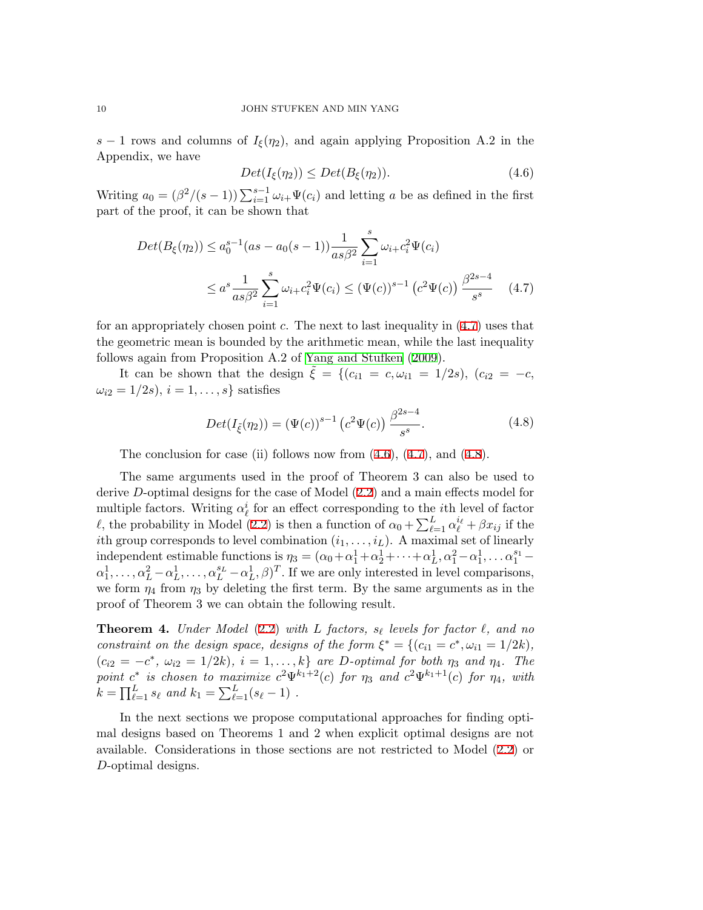*s* − 1 rows and columns of  $I_{\xi}(\eta_2)$ , and again applying Proposition A.2 in the Appendix, we have

<span id="page-9-1"></span>
$$
Det(I_{\xi}(\eta_2)) \le Det(B_{\xi}(\eta_2)).\tag{4.6}
$$

Writing  $a_0 = (\beta^2/(s-1)) \sum_{i=1}^{s-1} \omega_{i+} \Psi(c_i)$  and letting *a* be as defined in the first part of the proof, it can be shown that

<span id="page-9-0"></span>
$$
Det(B_{\xi}(\eta_2)) \le a_0^{s-1}(as - a_0(s-1)) \frac{1}{as\beta^2} \sum_{i=1}^s \omega_{i+} c_i^2 \Psi(c_i)
$$
  

$$
\le a^s \frac{1}{as\beta^2} \sum_{i=1}^s \omega_{i+} c_i^2 \Psi(c_i) \le (\Psi(c))^{s-1} (c^2 \Psi(c)) \frac{\beta^{2s-4}}{s^s} \quad (4.7)
$$

for an appropriately chosen point *c*. The next to last inequality in [\(4.7](#page-9-0)) uses that the geometric mean is bounded by the arithmetic mean, while the last inequality follows again from Proposition A.2 of [Yang and Stufken](#page-21-2) [\(2009\)](#page-21-2).

It can be shown that the design  $\tilde{\xi} = \{(c_{i1} = c, \omega_{i1} = 1/2s), (c_{i2} = -c,$  $\omega_{i2} = 1/2s, i = 1, ..., s$ } satisfies

<span id="page-9-2"></span>
$$
Det(I_{\xi}(\eta_2)) = (\Psi(c))^{s-1} (c^2 \Psi(c)) \frac{\beta^{2s-4}}{s^s}.
$$
 (4.8)

The conclusion for case (ii) follows now from  $(4.6)$  $(4.6)$ ,  $(4.7)$  $(4.7)$ , and  $(4.8)$  $(4.8)$ .

The same arguments used in the proof of Theorem 3 can also be used to derive *D*-optimal designs for the case of Model ([2.2\)](#page-2-0) and a main effects model for multiple factors. Writing  $\alpha_{\ell}^{i}$  for an effect corresponding to the *i*th level of factor *ℓ*, the probability in Model ([2.2\)](#page-2-0) is then a function of  $\alpha_0 + \sum_{\ell=1}^L \alpha_\ell^{i_\ell} + \beta x_{ij}$  if the *i*th group corresponds to level combination  $(i_1, \ldots, i_L)$ . A maximal set of linearly independent estimable functions is  $\eta_3 = (\alpha_0 + \alpha_1^1 + \alpha_2^1 + \cdots + \alpha_L^1, \alpha_1^2 - \alpha_1^1, \ldots, \alpha_1^{s_1} - \alpha_1^1, \ldots, \alpha_1^{s_2} - \alpha_1^1, \ldots, \alpha_1^{s_1} - \alpha_1^1, \ldots, \alpha_1^{s_1} - \alpha_1^1, \ldots, \alpha_1^{s_1} - \alpha_1^1, \ldots, \alpha_1^{s_1} - \alpha_1^1, \ldots, \alpha_1^{s_$  $\alpha_1^1, \ldots, \alpha_L^2 - \alpha_L^1, \ldots, \alpha_L^{s_L} - \alpha_L^1, \beta)^T$ . If we are only interested in level comparisons, we form  $\eta_4$  from  $\eta_3$  by deleting the first term. By the same arguments as in the proof of Theorem 3 we can obtain the following result.

**Theorem 4.** *Under Model* ([2.2](#page-2-0)) *with L factors, s<sup>ℓ</sup> levels for factor ℓ, and no constraint on the design space, designs of the form*  $\xi^* = \{ (c_{i1} = c^*, \omega_{i1} = 1/2k),$  $(c_{i2} = -c^*, \omega_{i2} = 1/2k), i = 1, \ldots, k$  are D-optimal for both  $\eta_3$  and  $\eta_4$ . The *point*  $c^*$  *is chosen to maximize*  $c^2\Psi^{k_1+2}(c)$  *for*  $\eta_3$  *and*  $c^2\Psi^{k_1+1}(c)$  *for*  $\eta_4$ *, with*  $k = \prod_{\ell=1}^{L} s_{\ell}$  *and*  $k_1 = \sum_{\ell=1}^{L} (s_{\ell} - 1)$  *.* 

In the next sections we propose computational approaches for finding optimal designs based on Theorems 1 and 2 when explicit optimal designs are not available. Considerations in those sections are not restricted to Model ([2.2](#page-2-0)) or *D*-optimal designs.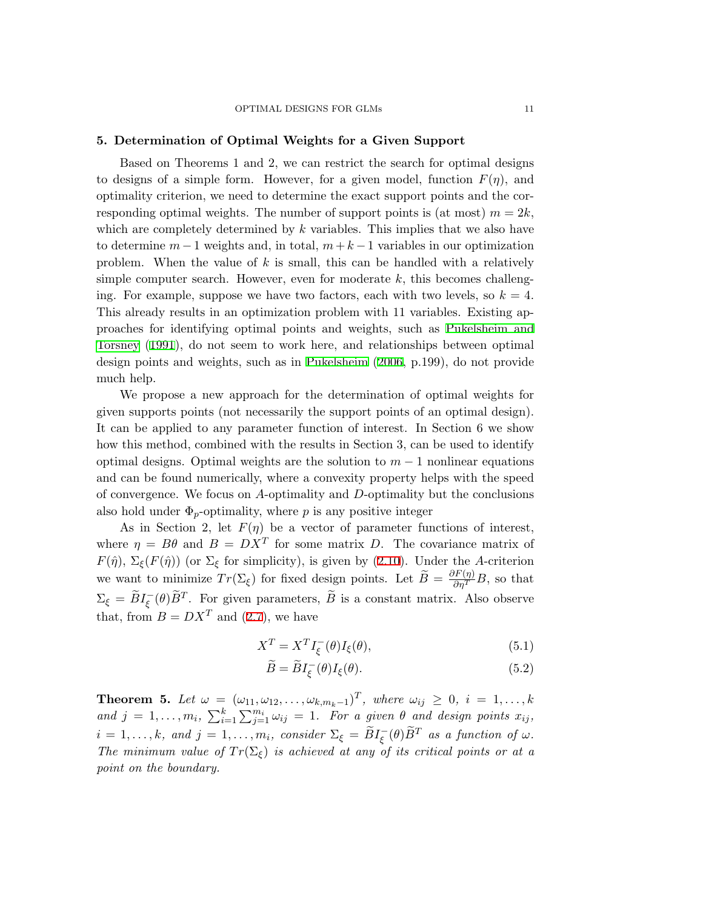# **5. Determination of Optimal Weights for a Given Support**

Based on Theorems 1 and 2, we can restrict the search for optimal designs to designs of a simple form. However, for a given model, function  $F(\eta)$ , and optimality criterion, we need to determine the exact support points and the corresponding optimal weights. The number of support points is (at most)  $m = 2k$ , which are completely determined by *k* variables. This implies that we also have to determine  $m-1$  weights and, in total,  $m+k-1$  variables in our optimization problem. When the value of *k* is small, this can be handled with a relatively simple computer search. However, even for moderate *k*, this becomes challenging. For example, suppose we have two factors, each with two levels, so  $k = 4$ . This already results in an optimization problem with 11 variables. Existing approaches for identifying optimal points and weights, such as [Pukelsheim and](#page-21-6) [Torsney](#page-21-6) ([1991](#page-21-6)), do not seem to work here, and relationships between optimal design points and weights, such as in [Pukelsheim](#page-21-5) [\(2006,](#page-21-5) p.199), do not provide much help.

We propose a new approach for the determination of optimal weights for given supports points (not necessarily the support points of an optimal design). It can be applied to any parameter function of interest. In Section 6 we show how this method, combined with the results in Section 3, can be used to identify optimal designs. Optimal weights are the solution to *m −* 1 nonlinear equations and can be found numerically, where a convexity property helps with the speed of convergence. We focus on *A*-optimality and *D*-optimality but the conclusions also hold under  $\Phi_p$ -optimality, where *p* is any positive integer

As in Section 2, let  $F(\eta)$  be a vector of parameter functions of interest, where  $\eta = B\theta$  and  $B = DX^T$  for some matrix *D*. The covariance matrix of *F*( $\hat{\eta}$ ),  $\Sigma_{\xi}$ (*F*( $\hat{\eta}$ )) (or  $\Sigma_{\xi}$  for simplicity), is given by ([2.10](#page-4-1)). Under the *A*-criterion we want to minimize  $Tr(\Sigma_{\xi})$  for fixed design points. Let  $\widetilde{B} = \frac{\partial F(\eta)}{\partial \eta^T}B$ , so that  $\Sigma_{\xi} = \tilde{B}I_{\xi}^{-}(\theta)\tilde{B}^{T}$ . For given parameters,  $\tilde{B}$  is a constant matrix. Also observe that, from  $B = DX^T$  and ([2.7\)](#page-3-2), we have

<span id="page-10-0"></span>
$$
X^T = X^T I_{\xi}^-(\theta) I_{\xi}(\theta), \tag{5.1}
$$

$$
\widetilde{B} = \widetilde{B}I_{\xi}^{-}(\theta)I_{\xi}(\theta). \tag{5.2}
$$

**Theorem 5.** Let  $\omega = (\omega_{11}, \omega_{12}, \dots, \omega_{k,m_k-1})^T$ , where  $\omega_{ij} \geq 0$ ,  $i = 1, \dots, k$ *and*  $j = 1, \ldots, m_i$ ,  $\sum_{i=1}^k \sum_{j=1}^{m_i} \omega_{ij} = 1$ . For a given  $\theta$  and design points  $x_{ij}$ ,  $i = 1, \ldots, k$ *, and*  $j = 1, \ldots, m_i$ *, consider*  $\Sigma_{\xi} = \widetilde{B}I_{\xi}^-(\theta)\widetilde{B}^T$  *as a function of*  $\omega$ *. The minimum value of*  $Tr(\Sigma_{\xi})$  *is achieved at any of its critical points or at a point on the boundary.*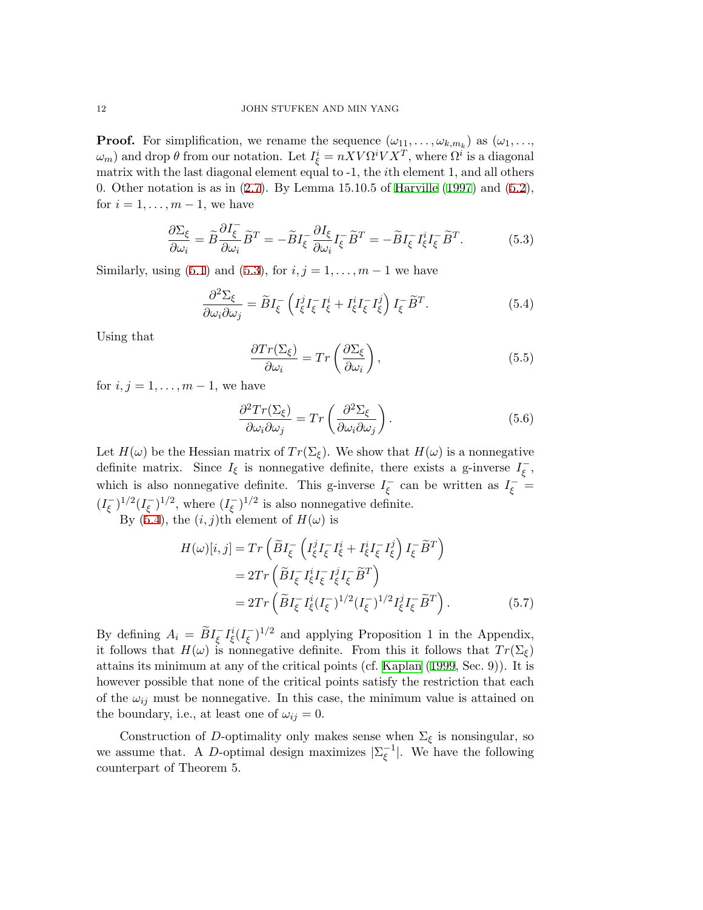**Proof.** For simplification, we rename the sequence  $(\omega_{11}, \ldots, \omega_{k,m_k})$  as  $(\omega_1, \ldots, \omega_k)$ *ω*<sub>*m*</sub>) and drop *θ* from our notation. Let  $I_{\xi}^{i} = nXV\Omega^{i}V X^{T}$ , where  $\Omega^{i}$  is a diagonal matrix with the last diagonal element equal to -1, the *i*th element 1, and all others 0. Other notation is as in  $(2.7)$  $(2.7)$ . By Lemma 15.10.5 of [Harville](#page-21-7)  $(1997)$  $(1997)$  and  $(5.2)$  $(5.2)$ , for  $i = 1, \ldots, m-1$ , we have

<span id="page-11-0"></span>
$$
\frac{\partial \Sigma_{\xi}}{\partial \omega_{i}} = \tilde{B} \frac{\partial I_{\xi}}{\partial \omega_{i}} \tilde{B}^{T} = -\tilde{B} I_{\xi}^{-} \frac{\partial I_{\xi}}{\partial \omega_{i}} I_{\xi}^{-} \tilde{B}^{T} = -\tilde{B} I_{\xi}^{-} I_{\xi}^{i} I_{\xi}^{-} \tilde{B}^{T}.
$$
(5.3)

Similarly, using [\(5.1](#page-10-0)) and ([5.3](#page-11-0)), for  $i, j = 1, ..., m - 1$  we have

$$
\frac{\partial^2 \Sigma_{\xi}}{\partial \omega_i \partial \omega_j} = \widetilde{B} I_{\xi}^{-} \left( I_{\xi}^j I_{\xi}^{-} I_{\xi}^i + I_{\xi}^i I_{\xi}^{-} I_{\xi}^j \right) I_{\xi}^{-} \widetilde{B}^T. \tag{5.4}
$$

Using that

<span id="page-11-1"></span>
$$
\frac{\partial Tr(\Sigma_{\xi})}{\partial \omega_i} = Tr\left(\frac{\partial \Sigma_{\xi}}{\partial \omega_i}\right),\tag{5.5}
$$

for  $i, j = 1, \ldots, m-1$ , we have

$$
\frac{\partial^2 Tr(\Sigma_{\xi})}{\partial \omega_i \partial \omega_j} = Tr \left( \frac{\partial^2 \Sigma_{\xi}}{\partial \omega_i \partial \omega_j} \right).
$$
 (5.6)

Let  $H(\omega)$  be the Hessian matrix of  $Tr(\Sigma_{\xi})$ . We show that  $H(\omega)$  is a nonnegative definite matrix. Since  $I_{\xi}$  is nonnegative definite, there exists a g-inverse  $I_{\xi}^-$ , which is also nonnegative definite. This g-inverse  $I_{\xi}^-$  can be written as  $I_{\xi}^-$  =  $(I_{\xi}^{-})^{1/2} (I_{\xi}^{-})^{1/2}$ , where  $(I_{\xi}^{-})^{1/2}$  is also nonnegative definite.

By ([5.4\)](#page-11-1), the  $(i, j)$ th element of  $H(\omega)$  is

<span id="page-11-2"></span>
$$
H(\omega)[i,j] = Tr\left(\widetilde{B}I_{\xi}^{-}\left(I_{\xi}^{j}I_{\xi}^{-}I_{\xi}^{i} + I_{\xi}^{i}I_{\xi}^{-}I_{\xi}^{j}\right)I_{\xi}^{-}\widetilde{B}^{T}\right)
$$
  
\n
$$
= 2Tr\left(\widetilde{B}I_{\xi}^{-}I_{\xi}^{i}I_{\xi}^{-}I_{\xi}^{j}I_{\xi}^{-}\widetilde{B}^{T}\right)
$$
  
\n
$$
= 2Tr\left(\widetilde{B}I_{\xi}^{-}I_{\xi}^{i}(I_{\xi}^{-})^{1/2}(I_{\xi}^{-})^{1/2}I_{\xi}^{j}I_{\xi}^{-}\widetilde{B}^{T}\right).
$$
 (5.7)

By defining  $A_i = \widetilde{B}I_{\xi}^{-}I_{\xi}^{i}(I_{\xi}^{-})^{1/2}$  and applying Proposition 1 in the Appendix, it follows that  $H(\omega)$  is nonnegative definite. From this it follows that  $Tr(\Sigma_{\xi})$ attains its minimum at any of the critical points (cf. [Kaplan](#page-21-8) ([1999,](#page-21-8) Sec. 9)). It is however possible that none of the critical points satisfy the restriction that each of the  $\omega_{ij}$  must be nonnegative. In this case, the minimum value is attained on the boundary, i.e., at least one of  $\omega_{ij} = 0$ .

Construction of *D*-optimality only makes sense when  $\Sigma_{\xi}$  is nonsingular, so we assume that. A *D*-optimal design maximizes  $|\Sigma_{\xi}^{-1}|$ . We have the following counterpart of Theorem 5.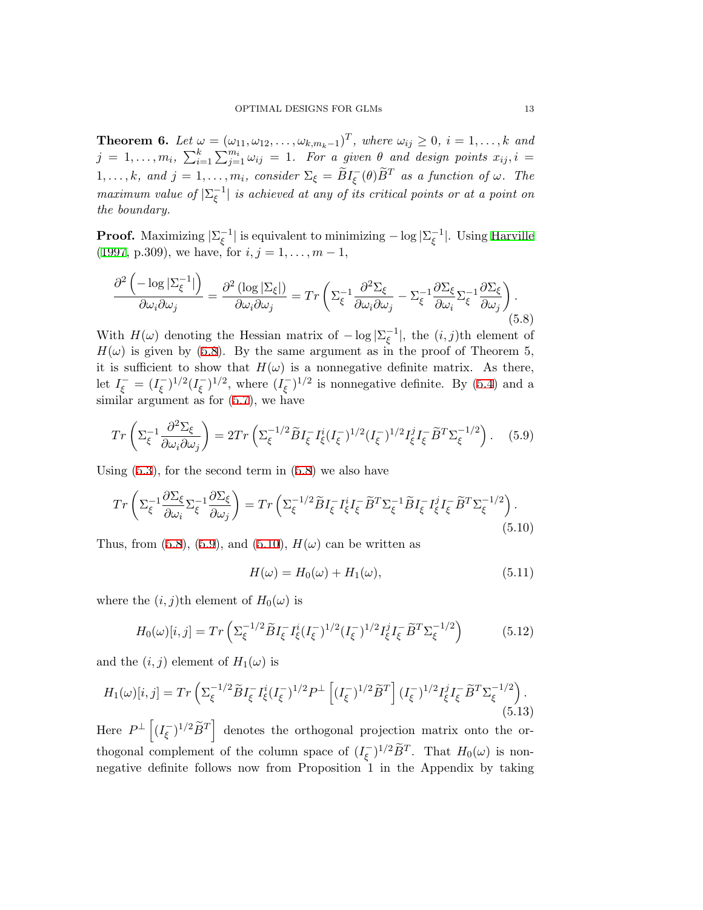**Theorem 6.** Let  $\omega = (\omega_{11}, \omega_{12}, \dots, \omega_{k,m_k-1})^T$ , where  $\omega_{ij} \geq 0$ ,  $i = 1, \dots, k$  and  $j = 1, \ldots, m_i, \sum_{i=1}^k \sum_{j=1}^{m_i} \omega_{ij} = 1$ *. For a given*  $\theta$  *and design points*  $x_{ij}, i =$  $1, \ldots, k$ *, and*  $j = 1, \ldots, m_i$ *, consider*  $\Sigma_{\xi} = \widetilde{B}I_{\overline{\xi}}(\theta)\widetilde{B}^T$  *as a function of*  $\omega$ *. The maximum value of*  $|\Sigma_{\xi}^{-1}|$  *is achieved at any of its critical points or at a point on the boundary.*

**Proof.** Maximizing  $|\Sigma_{\xi}^{-1}|$  is equivalent to minimizing  $-\log |\Sigma_{\xi}^{-1}|$ . Using [Harville](#page-21-7) [\(1997](#page-21-7), p.309), we have, for  $i, j = 1, \ldots, m - 1$ ,

<span id="page-12-0"></span>
$$
\frac{\partial^2 \left( -\log |\Sigma_{\xi}^{-1}| \right)}{\partial \omega_i \partial \omega_j} = \frac{\partial^2 \left( \log |\Sigma_{\xi} | \right)}{\partial \omega_i \partial \omega_j} = Tr \left( \Sigma_{\xi}^{-1} \frac{\partial^2 \Sigma_{\xi}}{\partial \omega_i \partial \omega_j} - \Sigma_{\xi}^{-1} \frac{\partial \Sigma_{\xi}}{\partial \omega_i} \Sigma_{\xi}^{-1} \frac{\partial \Sigma_{\xi}}{\partial \omega_j} \right). \tag{5.8}
$$

With  $H(\omega)$  denoting the Hessian matrix of  $-\log|\Sigma_{\xi}^{-1}|$ , the  $(i, j)$ th element of  $H(\omega)$  is given by ([5.8](#page-12-0)). By the same argument as in the proof of Theorem 5, it is sufficient to show that  $H(\omega)$  is a nonnegative definite matrix. As there, let  $I_{\xi}^- = (I_{\xi}^-)^{1/2} (I_{\xi}^-)^{1/2}$ , where  $(I_{\xi}^-)^{1/2}$  is nonnegative definite. By ([5.4\)](#page-11-1) and a similar argument as for  $(5.7)$  $(5.7)$ , we have

$$
Tr\left(\Sigma_{\xi}^{-1}\frac{\partial^2 \Sigma_{\xi}}{\partial \omega_i \partial \omega_j}\right) = 2Tr\left(\Sigma_{\xi}^{-1/2}\tilde{B}I_{\xi}^{-1}\tilde{I}_{\xi}^{i}(I_{\xi}^{-})^{1/2}(I_{\xi}^{-})^{1/2}I_{\xi}^{j}I_{\xi}^{-}\tilde{B}^{T}\Sigma_{\xi}^{-1/2}\right). \tag{5.9}
$$

Using  $(5.3)$  $(5.3)$ , for the second term in  $(5.8)$  $(5.8)$  we also have

$$
Tr\left(\Sigma_{\xi}^{-1}\frac{\partial\Sigma_{\xi}}{\partial\omega_{i}}\Sigma_{\xi}^{-1}\frac{\partial\Sigma_{\xi}}{\partial\omega_{j}}\right) = Tr\left(\Sigma_{\xi}^{-1/2}\widetilde{B}I_{\xi}^{-}I_{\xi}^{i}I_{\xi}^{-}\widetilde{B}^{T}\Sigma_{\xi}^{-1}\widetilde{B}I_{\xi}^{-}I_{\xi}^{j}I_{\xi}^{-}\widetilde{B}^{T}\Sigma_{\xi}^{-1/2}\right).
$$
\n(5.10)

Thus, from  $(5.8)$  $(5.8)$ ,  $(5.9)$  $(5.9)$ , and  $(5.10)$  $(5.10)$  $(5.10)$ ,  $H(\omega)$  can be written as

<span id="page-12-2"></span><span id="page-12-1"></span>
$$
H(\omega) = H_0(\omega) + H_1(\omega), \tag{5.11}
$$

where the  $(i, j)$ <sup>th</sup> element of  $H_0(\omega)$  is

$$
H_0(\omega)[i,j] = Tr\left(\Sigma_{\xi}^{-1/2} \widetilde{B} I_{\xi}^{-} I_{\xi}^{i} (I_{\xi}^{-})^{1/2} (I_{\xi}^{-})^{1/2} I_{\xi}^{j} I_{\xi}^{-} \widetilde{B}^{T} \Sigma_{\xi}^{-1/2}\right) \tag{5.12}
$$

and the  $(i, j)$  element of  $H_1(\omega)$  is

$$
H_1(\omega)[i,j] = Tr\left(\Sigma_{\xi}^{-1/2} \widetilde{B} I_{\xi}^{-} I_{\xi}^{i} (I_{\xi}^{-})^{1/2} P^{\perp} \left[ (I_{\xi}^{-})^{1/2} \widetilde{B}^{T} \right] (I_{\xi}^{-})^{1/2} I_{\xi}^{j} I_{\xi}^{-} \widetilde{B}^{T} \Sigma_{\xi}^{-1/2} \right). \tag{5.13}
$$

Here  $P^{\perp}$   $\left[ (I_{\xi}^{-})^{1/2} \tilde{B}^{T} \right]$  denotes the orthogonal projection matrix onto the orthogonal complement of the column space of  $(I_{\xi}^{-})^{1/2} \tilde{B}^{T}$ . That  $H_{0}(\omega)$  is nonnegative definite follows now from Proposition 1 in the Appendix by taking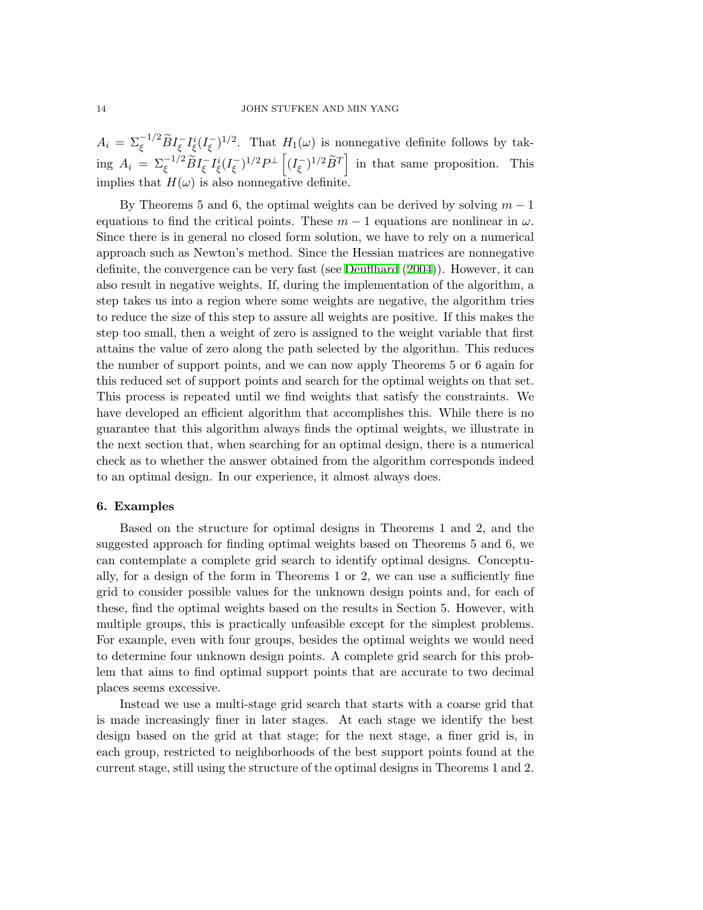$A_i = \sum_{\xi}^{-1/2} \widetilde{B} I_{\xi}^{-} I_{\xi}^{i} (I_{\xi}^{-})^{1/2}$ . That  $H_1(\omega)$  is nonnegative definite follows by taking  $A_i = \sum_{\xi}^{-1/2} \widetilde{B} I_{\xi}^{-} I_{\xi}^{i} (I_{\xi}^{-})^{1/2} P^{\perp} \left[ (I_{\xi}^{-})^{1/2} \widetilde{B}^{T} \right]$  in that same proposition. This implies that  $H(\omega)$  is also nonnegative definite.

By Theorems 5 and 6, the optimal weights can be derived by solving *m −* 1 equations to find the critical points. These  $m-1$  equations are nonlinear in  $\omega$ . Since there is in general no closed form solution, we have to rely on a numerical approach such as Newton's method. Since the Hessian matrices are nonnegative definite, the convergence can be very fast (see [Deuflhard](#page-21-9) ([2004](#page-21-9))). However, it can also result in negative weights. If, during the implementation of the algorithm, a step takes us into a region where some weights are negative, the algorithm tries to reduce the size of this step to assure all weights are positive. If this makes the step too small, then a weight of zero is assigned to the weight variable that first attains the value of zero along the path selected by the algorithm. This reduces the number of support points, and we can now apply Theorems 5 or 6 again for this reduced set of support points and search for the optimal weights on that set. This process is repeated until we find weights that satisfy the constraints. We have developed an efficient algorithm that accomplishes this. While there is no guarantee that this algorithm always finds the optimal weights, we illustrate in the next section that, when searching for an optimal design, there is a numerical check as to whether the answer obtained from the algorithm corresponds indeed to an optimal design. In our experience, it almost always does.

# **6. Examples**

Based on the structure for optimal designs in Theorems 1 and 2, and the suggested approach for finding optimal weights based on Theorems 5 and 6, we can contemplate a complete grid search to identify optimal designs. Conceptually, for a design of the form in Theorems 1 or 2, we can use a sufficiently fine grid to consider possible values for the unknown design points and, for each of these, find the optimal weights based on the results in Section 5. However, with multiple groups, this is practically unfeasible except for the simplest problems. For example, even with four groups, besides the optimal weights we would need to determine four unknown design points. A complete grid search for this problem that aims to find optimal support points that are accurate to two decimal places seems excessive.

Instead we use a multi-stage grid search that starts with a coarse grid that is made increasingly finer in later stages. At each stage we identify the best design based on the grid at that stage; for the next stage, a finer grid is, in each group, restricted to neighborhoods of the best support points found at the current stage, still using the structure of the optimal designs in Theorems 1 and 2.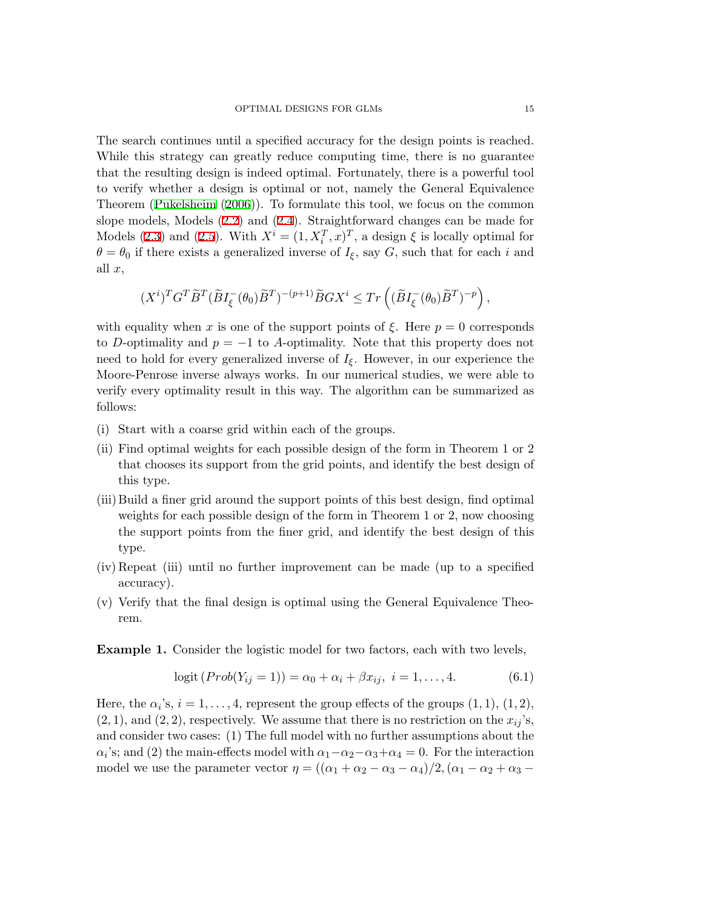The search continues until a specified accuracy for the design points is reached. While this strategy can greatly reduce computing time, there is no guarantee that the resulting design is indeed optimal. Fortunately, there is a powerful tool to verify whether a design is optimal or not, namely the General Equivalence Theorem [\(Pukelsheim](#page-21-5) ([2006](#page-21-5))). To formulate this tool, we focus on the common slope models, Models ([2.2\)](#page-2-0) and ([2.4\)](#page-3-0). Straightforward changes can be made for Models ([2.3\)](#page-2-1) and [\(2.5](#page-3-1)). With  $X^i = (1, X_i^T, x)^T$ , a design  $\xi$  is locally optimal for  $\theta = \theta_0$  if there exists a generalized inverse of  $I_\xi$ , say *G*, such that for each *i* and all *x*,

$$
(X^i)^TG^T\widetilde{B}^T(\widetilde{B}I_{\xi}^-(\theta_0)\widetilde{B}^T)^{-(p+1)}\widetilde{B}GX^i\leq Tr\left((\widetilde{B}I_{\xi}^-(\theta_0)\widetilde{B}^T)^{-p}\right),
$$

with equality when *x* is one of the support points of  $\xi$ . Here  $p = 0$  corresponds to *D*-optimality and  $p = -1$  to *A*-optimality. Note that this property does not need to hold for every generalized inverse of  $I_{\xi}$ . However, in our experience the Moore-Penrose inverse always works. In our numerical studies, we were able to verify every optimality result in this way. The algorithm can be summarized as follows:

- (i) Start with a coarse grid within each of the groups.
- (ii) Find optimal weights for each possible design of the form in Theorem 1 or 2 that chooses its support from the grid points, and identify the best design of this type.
- (iii) Build a finer grid around the support points of this best design, find optimal weights for each possible design of the form in Theorem 1 or 2, now choosing the support points from the finer grid, and identify the best design of this type.
- (iv) Repeat (iii) until no further improvement can be made (up to a specified accuracy).
- (v) Verify that the final design is optimal using the General Equivalence Theorem.

**Example 1.** Consider the logistic model for two factors, each with two levels,

<span id="page-14-0"></span>
$$
logit (Prob(Y_{ij} = 1)) = \alpha_0 + \alpha_i + \beta x_{ij}, \ i = 1, ..., 4.
$$
 (6.1)

Here, the  $\alpha_i$ 's,  $i = 1, \ldots, 4$ , represent the group effects of the groups  $(1, 1)$ ,  $(1, 2)$ ,  $(2, 1)$ , and  $(2, 2)$ , respectively. We assume that there is no restriction on the  $x_{ij}$ 's, and consider two cases: (1) The full model with no further assumptions about the  $\alpha_i$ 's; and (2) the main-effects model with  $\alpha_1 - \alpha_2 - \alpha_3 + \alpha_4 = 0$ . For the interaction model we use the parameter vector  $\eta = ((\alpha_1 + \alpha_2 - \alpha_3 - \alpha_4)/2, (\alpha_1 - \alpha_2 + \alpha_3 - \alpha_4)/2)$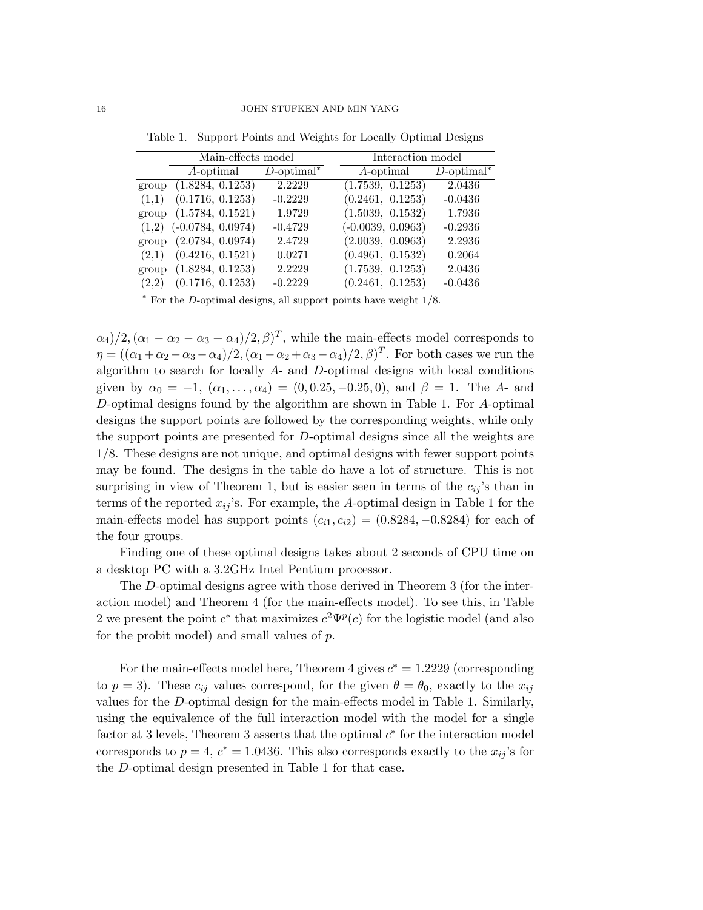|       | Main-effects model  |               |  | Interaction model   |               |  |
|-------|---------------------|---------------|--|---------------------|---------------|--|
|       | A-optimal           | $D$ -optimal* |  | $A$ -optimal        | $D$ -optimal* |  |
| group | (1.8284, 0.1253)    | 2.2229        |  | (1.7539, 0.1253)    | 2.0436        |  |
| (1,1) | (0.1716, 0.1253)    | $-0.2229$     |  | (0.2461, 0.1253)    | $-0.0436$     |  |
| group | (1.5784, 0.1521)    | 1.9729        |  | (1.5039, 0.1532)    | 1.7936        |  |
| (1,2) | $(-0.0784, 0.0974)$ | $-0.4729$     |  | $(-0.0039, 0.0963)$ | $-0.2936$     |  |
| group | (2.0784, 0.0974)    | 2.4729        |  | (2.0039, 0.0963)    | 2.2936        |  |
| (2,1) | (0.4216, 0.1521)    | 0.0271        |  | (0.4961, 0.1532)    | 0.2064        |  |
| group | (1.8284, 0.1253)    | 2.2229        |  | (1.7539, 0.1253)    | 2.0436        |  |
| (2,2) | (0.1716, 0.1253)    | $-0.2229$     |  | (0.2461, 0.1253)    | $-0.0436$     |  |

Table 1. Support Points and Weights for Locally Optimal Designs

*<sup>∗</sup>* For the *D*-optimal designs, all support points have weight 1/8.

 $\alpha_4$ )/2,  $(\alpha_1 - \alpha_2 - \alpha_3 + \alpha_4)$ /2,  $\beta$ )<sup>T</sup>, while the main-effects model corresponds to *η* =  $((\alpha_1 + \alpha_2 - \alpha_3 - \alpha_4)/2, (\alpha_1 - \alpha_2 + \alpha_3 - \alpha_4)/2, \beta)^T$ . For both cases we run the algorithm to search for locally *A*- and *D*-optimal designs with local conditions given by  $\alpha_0 = -1$ ,  $(\alpha_1, \ldots, \alpha_4) = (0, 0.25, -0.25, 0)$ , and  $\beta = 1$ . The *A*- and *D*-optimal designs found by the algorithm are shown in Table 1. For *A*-optimal designs the support points are followed by the corresponding weights, while only the support points are presented for *D*-optimal designs since all the weights are 1/8. These designs are not unique, and optimal designs with fewer support points may be found. The designs in the table do have a lot of structure. This is not surprising in view of Theorem 1, but is easier seen in terms of the  $c_{ij}$ 's than in terms of the reported  $x_{ij}$ 's. For example, the *A*-optimal design in Table 1 for the main-effects model has support points  $(c_{i1}, c_{i2}) = (0.8284, -0.8284)$  for each of the four groups.

Finding one of these optimal designs takes about 2 seconds of CPU time on a desktop PC with a 3.2GHz Intel Pentium processor.

The *D*-optimal designs agree with those derived in Theorem 3 (for the interaction model) and Theorem 4 (for the main-effects model). To see this, in Table 2 we present the point  $c^*$  that maximizes  $c^2\Psi^p(c)$  for the logistic model (and also for the probit model) and small values of *p*.

For the main-effects model here, Theorem 4 gives  $c^* = 1.2229$  (corresponding to  $p = 3$ ). These  $c_{ij}$  values correspond, for the given  $\theta = \theta_0$ , exactly to the  $x_{ij}$ values for the *D*-optimal design for the main-effects model in Table 1. Similarly, using the equivalence of the full interaction model with the model for a single factor at 3 levels, Theorem 3 asserts that the optimal  $c^*$  for the interaction model corresponds to  $p = 4$ ,  $c^* = 1.0436$ . This also corresponds exactly to the  $x_{ij}$ 's for the *D*-optimal design presented in Table 1 for that case.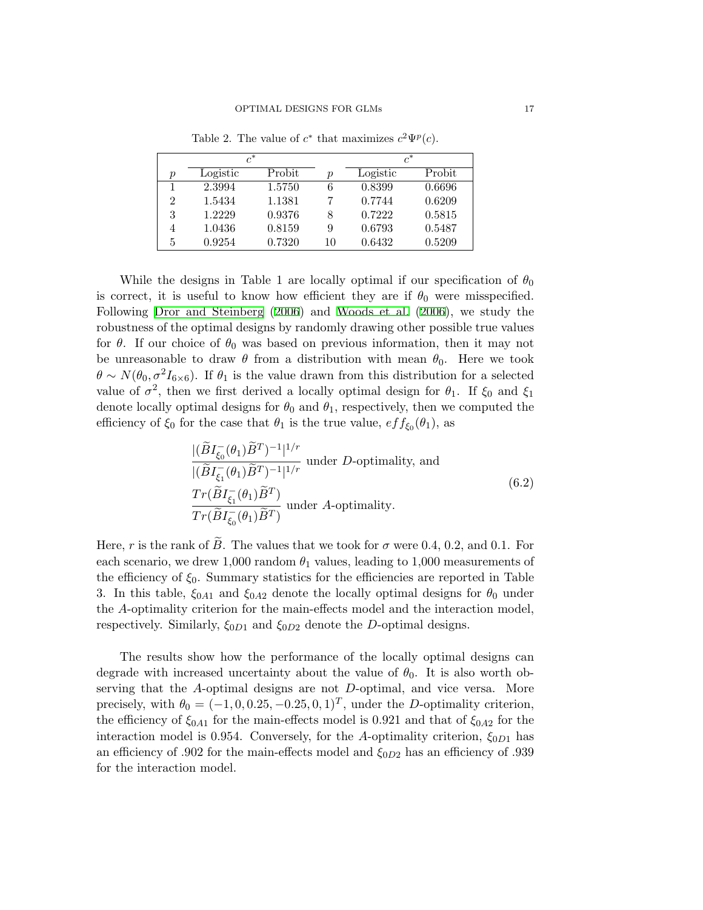| $c^*$            |          |        |                  | $c^*$    |        |  |
|------------------|----------|--------|------------------|----------|--------|--|
| $\boldsymbol{p}$ | Logistic | Probit | $\boldsymbol{p}$ | Logistic | Probit |  |
|                  | 2.3994   | 1.5750 | 6                | 0.8399   | 0.6696 |  |
| 2                | 1.5434   | 1.1381 | 7                | 0.7744   | 0.6209 |  |
| 3                | 1.2229   | 0.9376 | 8                | 0.7222   | 0.5815 |  |
| 4                | 1.0436   | 0.8159 | 9                | 0.6793   | 0.5487 |  |
| 5                | 0.9254   | 0.7320 | 10               | 0.6432   | 0.5209 |  |

Table 2. The value of  $c^*$  that maximizes  $c^2 \Psi^p(c)$ .

While the designs in Table 1 are locally optimal if our specification of  $\theta_0$ is correct, it is useful to know how efficient they are if  $\theta_0$  were misspecified. Following [Dror and Steinberg](#page-21-10) [\(2006](#page-21-10)) and [Woods et al.](#page-21-11) [\(2006\)](#page-21-11), we study the robustness of the optimal designs by randomly drawing other possible true values for  $\theta$ . If our choice of  $\theta_0$  was based on previous information, then it may not be unreasonable to draw  $\theta$  from a distribution with mean  $\theta_0$ . Here we took  $\theta \sim N(\theta_0, \sigma^2 I_{6\times6})$ . If  $\theta_1$  is the value drawn from this distribution for a selected value of  $\sigma^2$ , then we first derived a locally optimal design for  $\theta_1$ . If  $\xi_0$  and  $\xi_1$ denote locally optimal designs for  $\theta_0$  and  $\theta_1$ , respectively, then we computed the efficiency of  $\xi_0$  for the case that  $\theta_1$  is the true value,  $eff_{\xi_0}(\theta_1)$ , as

$$
\frac{|(\widetilde{B}I_{\xi_0}(\theta_1)\widetilde{B}^T)^{-1}|^{1/r}}{|(\widetilde{B}I_{\xi_1}(\theta_1)\widetilde{B}^T)^{-1}|^{1/r}} \text{ under } D\text{-optimality, and}
$$
  

$$
\frac{Tr(\widetilde{B}I_{\xi_1}(\theta_1)\widetilde{B}^T)}{Tr(\widetilde{B}I_{\xi_0}(\theta_1)\widetilde{B}^T)} \text{ under } A\text{-optimality.}
$$
 (6.2)

Here, *r* is the rank of  $\widetilde{B}$ . The values that we took for  $\sigma$  were 0.4, 0.2, and 0.1. For each scenario, we drew 1,000 random  $\theta_1$  values, leading to 1,000 measurements of the efficiency of  $\xi_0$ . Summary statistics for the efficiencies are reported in Table 3. In this table,  $\xi_{0A1}$  and  $\xi_{0A2}$  denote the locally optimal designs for  $\theta_0$  under the *A*-optimality criterion for the main-effects model and the interaction model, respectively. Similarly, *ξ*0*D*<sup>1</sup> and *ξ*0*D*<sup>2</sup> denote the *D*-optimal designs.

The results show how the performance of the locally optimal designs can degrade with increased uncertainty about the value of  $\theta_0$ . It is also worth observing that the *A*-optimal designs are not *D*-optimal, and vice versa. More precisely, with  $\theta_0 = (-1, 0, 0.25, -0.25, 0, 1)^T$ , under the *D*-optimality criterion, the efficiency of *ξ*0*A*<sup>1</sup> for the main-effects model is 0.921 and that of *ξ*0*A*<sup>2</sup> for the interaction model is 0.954. Conversely, for the *A*-optimality criterion, *ξ*0*D*<sup>1</sup> has an efficiency of .902 for the main-effects model and *ξ*0*D*<sup>2</sup> has an efficiency of .939 for the interaction model.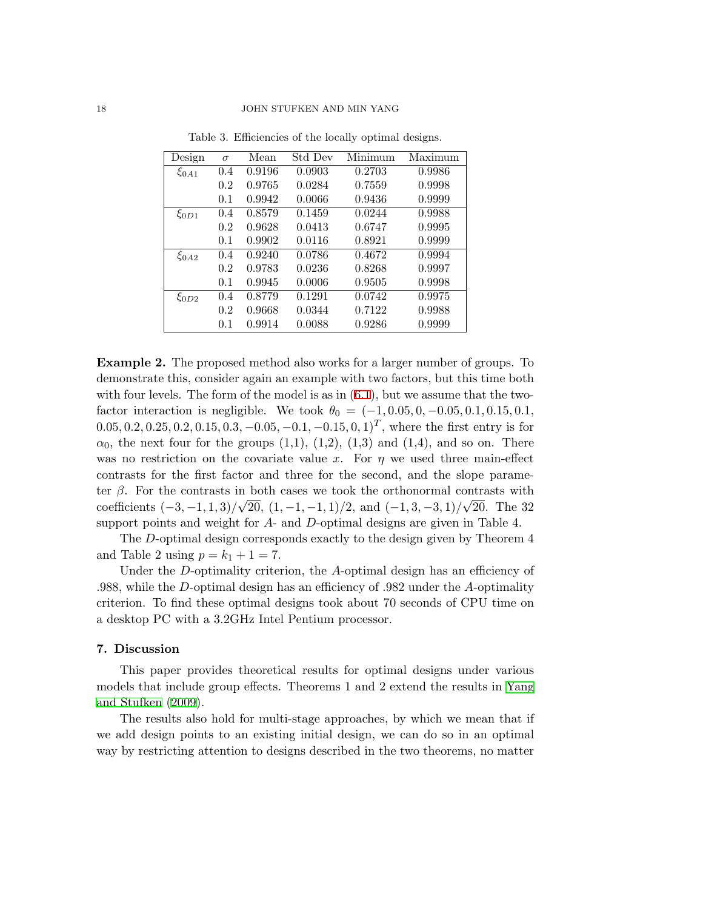| Design      | $\sigma$ | Mean   | Std Dev | Minimum | Maximum |
|-------------|----------|--------|---------|---------|---------|
| $\xi_{0A1}$ | 0.4      | 0.9196 | 0.0903  | 0.2703  | 0.9986  |
|             | 0.2      | 0.9765 | 0.0284  | 0.7559  | 0.9998  |
|             | 0.1      | 0.9942 | 0.0066  | 0.9436  | 0.9999  |
| $\xi_{0D1}$ | 0.4      | 0.8579 | 0.1459  | 0.0244  | 0.9988  |
|             | 0.2      | 0.9628 | 0.0413  | 0.6747  | 0.9995  |
|             | 0.1      | 0.9902 | 0.0116  | 0.8921  | 0.9999  |
| $\xi_{0A2}$ | 0.4      | 0.9240 | 0.0786  | 0.4672  | 0.9994  |
|             | 0.2      | 0.9783 | 0.0236  | 0.8268  | 0.9997  |
|             | 0.1      | 0.9945 | 0.0006  | 0.9505  | 0.9998  |
| $\xi_{0D2}$ | 0.4      | 0.8779 | 0.1291  | 0.0742  | 0.9975  |
|             | 0.2      | 0.9668 | 0.0344  | 0.7122  | 0.9988  |
|             | 0.1      | 0.9914 | 0.0088  | 0.9286  | 0.9999  |

Table 3. Efficiencies of the locally optimal designs.

**Example 2.** The proposed method also works for a larger number of groups. To demonstrate this, consider again an example with two factors, but this time both with four levels. The form of the model is as in  $(6.1)$  $(6.1)$ , but we assume that the twofactor interaction is negligible. We took  $\theta_0 = (-1, 0.05, 0, -0.05, 0.1, 0.15, 0.1,$  $(0.05, 0.2, 0.25, 0.2, 0.15, 0.3, -0.05, -0.1, -0.15, 0, 1)^T$ , where the first entry is for  $\alpha_0$ , the next four for the groups  $(1,1)$ ,  $(1,2)$ ,  $(1,3)$  and  $(1,4)$ , and so on. There was no restriction on the covariate value *x*. For *η* we used three main-effect contrasts for the first factor and three for the second, and the slope parameter *β*. For the contrasts in both cases we took the orthonormal contrasts with coefficients (*−*3*, −*1*,* 1*,* 3)*/* 20, (1*, −*1*, −*1*,* 1)*/*2, and (*−*1*,* 3*, −*3*,* 1)*/* 20. The 32 support points and weight for *A*- and *D*-optimal designs are given in Table 4.

The *D*-optimal design corresponds exactly to the design given by Theorem 4 and Table 2 using  $p = k_1 + 1 = 7$ .

Under the *D*-optimality criterion, the *A*-optimal design has an efficiency of .988, while the *D*-optimal design has an efficiency of .982 under the *A*-optimality criterion. To find these optimal designs took about 70 seconds of CPU time on a desktop PC with a 3.2GHz Intel Pentium processor.

# **7. Discussion**

This paper provides theoretical results for optimal designs under various models that include group effects. Theorems 1 and 2 extend the results in [Yang](#page-21-2) [and Stufken](#page-21-2) [\(2009\)](#page-21-2).

The results also hold for multi-stage approaches, by which we mean that if we add design points to an existing initial design, we can do so in an optimal way by restricting attention to designs described in the two theorems, no matter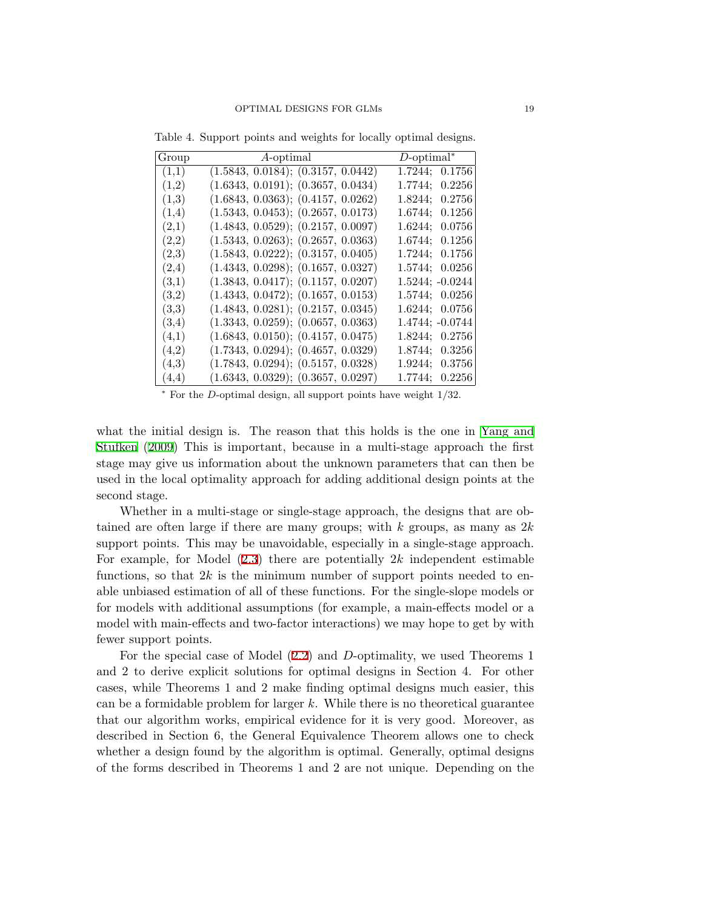| $A$ -optimal<br>Group                       | $D\text{-optimal}^*$ |
|---------------------------------------------|----------------------|
| (1.5843, 0.0184); (0.3157, 0.0442)<br>(1,1) | 1.7244; 0.1756       |
| (1.6343, 0.0191); (0.3657, 0.0434)<br>(1,2) | 1.7744; 0.2256       |
| (1.6843, 0.0363); (0.4157, 0.0262)<br>(1,3) | 1.8244; 0.2756       |
| (1.5343, 0.0453); (0.2657, 0.0173)<br>(1,4) | 1.6744; 0.1256       |
| (1.4843, 0.0529); (0.2157, 0.0097)<br>(2,1) | 1.6244: 0.0756       |
| (1.5343, 0.0263); (0.2657, 0.0363)<br>(2,2) | 1.6744: 0.1256       |
| (1.5843, 0.0222); (0.3157, 0.0405)<br>(2,3) | 1.7244; 0.1756       |
| (1.4343, 0.0298); (0.1657, 0.0327)<br>(2,4) | 1.5744; 0.0256       |
| (1.3843, 0.0417); (0.1157, 0.0207)<br>(3,1) | 1.5244; -0.0244      |
| (1.4343, 0.0472); (0.1657, 0.0153)<br>(3,2) | 1.5744; 0.0256       |
| (1.4843, 0.0281); (0.2157, 0.0345)<br>(3,3) | 1.6244; 0.0756       |
| (1.3343, 0.0259); (0.0657, 0.0363)<br>(3,4) | 1.4744; $-0.0744$    |
| (1.6843, 0.0150); (0.4157, 0.0475)<br>(4,1) | 1.8244; 0.2756       |
| (1.7343, 0.0294); (0.4657, 0.0329)<br>(4,2) | 1.8744; 0.3256       |
| (1.7843, 0.0294); (0.5157, 0.0328)<br>(4,3) | 1.9244; 0.3756       |
| (1.6343, 0.0329); (0.3657, 0.0297)<br>(4,4) | 1.7744; 0.2256       |

Table 4. Support points and weights for locally optimal designs.

*<sup>∗</sup>* For the *D*-optimal design, all support points have weight 1/32.

what the initial design is. The reason that this holds is the one in [Yang and](#page-21-2) [Stufken](#page-21-2) [\(2009\)](#page-21-2) This is important, because in a multi-stage approach the first stage may give us information about the unknown parameters that can then be used in the local optimality approach for adding additional design points at the second stage.

Whether in a multi-stage or single-stage approach, the designs that are obtained are often large if there are many groups; with *k* groups, as many as 2*k* support points. This may be unavoidable, especially in a single-stage approach. For example, for Model ([2.3\)](#page-2-1) there are potentially 2*k* independent estimable functions, so that  $2k$  is the minimum number of support points needed to enable unbiased estimation of all of these functions. For the single-slope models or for models with additional assumptions (for example, a main-effects model or a model with main-effects and two-factor interactions) we may hope to get by with fewer support points.

For the special case of Model [\(2.2](#page-2-0)) and *D*-optimality, we used Theorems 1 and 2 to derive explicit solutions for optimal designs in Section 4. For other cases, while Theorems 1 and 2 make finding optimal designs much easier, this can be a formidable problem for larger *k*. While there is no theoretical guarantee that our algorithm works, empirical evidence for it is very good. Moreover, as described in Section 6, the General Equivalence Theorem allows one to check whether a design found by the algorithm is optimal. Generally, optimal designs of the forms described in Theorems 1 and 2 are not unique. Depending on the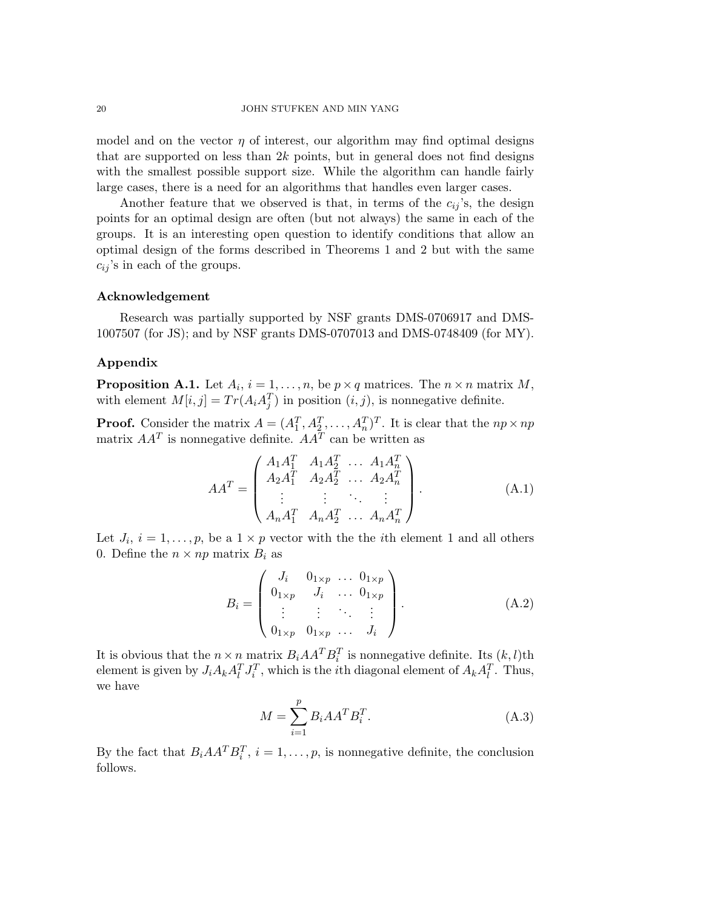model and on the vector  $\eta$  of interest, our algorithm may find optimal designs that are supported on less than 2*k* points, but in general does not find designs with the smallest possible support size. While the algorithm can handle fairly large cases, there is a need for an algorithms that handles even larger cases.

Another feature that we observed is that, in terms of the  $c_{ij}$ 's, the design points for an optimal design are often (but not always) the same in each of the groups. It is an interesting open question to identify conditions that allow an optimal design of the forms described in Theorems 1 and 2 but with the same  $c_{ij}$ 's in each of the groups.

#### **Acknowledgement**

Research was partially supported by NSF grants DMS-0706917 and DMS-1007507 (for JS); and by NSF grants DMS-0707013 and DMS-0748409 (for MY).

#### **Appendix**

**Proposition A.1.** Let  $A_i$ ,  $i = 1, \ldots, n$ , be  $p \times q$  matrices. The  $n \times n$  matrix  $M$ , with element  $M[i, j] = Tr(A_i A_j^T)$  in position  $(i, j)$ , is nonnegative definite.

**Proof.** Consider the matrix  $A = (A_1^T, A_2^T, \dots, A_n^T)^T$ . It is clear that the  $np \times np$ matrix  $AA<sup>T</sup>$  is nonnegative definite.  $AA<sup>T</sup>$  can be written as

$$
AA^{T} = \begin{pmatrix} A_{1}A_{1}^{T} & A_{1}A_{2}^{T} & \dots & A_{1}A_{n}^{T} \\ A_{2}A_{1}^{T} & A_{2}A_{2}^{T} & \dots & A_{2}A_{n}^{T} \\ \vdots & \vdots & \ddots & \vdots \\ A_{n}A_{1}^{T} & A_{n}A_{2}^{T} & \dots & A_{n}A_{n}^{T} \end{pmatrix}.
$$
 (A.1)

Let  $J_i$ ,  $i = 1, \ldots, p$ , be a  $1 \times p$  vector with the the *i*<sup>th</sup> element 1 and all others 0. Define the  $n \times np$  matrix  $B_i$  as

$$
B_{i} = \begin{pmatrix} J_{i} & 0_{1 \times p} & \dots & 0_{1 \times p} \\ 0_{1 \times p} & J_{i} & \dots & 0_{1 \times p} \\ \vdots & \vdots & \ddots & \vdots \\ 0_{1 \times p} & 0_{1 \times p} & \dots & J_{i} \end{pmatrix} .
$$
 (A.2)

It is obvious that the  $n \times n$  matrix  $B_i A A^T B_i^T$  is nonnegative definite. Its  $(k, l)$ th element is given by  $J_i A_k A_l^T J_i^T$ , which is the *i*th diagonal element of  $A_k A_l^T$ . Thus, we have

$$
M = \sum_{i=1}^{p} B_i A A^T B_i^T.
$$
\n(A.3)

By the fact that  $B_i A A^T B_i^T$ ,  $i = 1, \ldots, p$ , is nonnegative definite, the conclusion follows.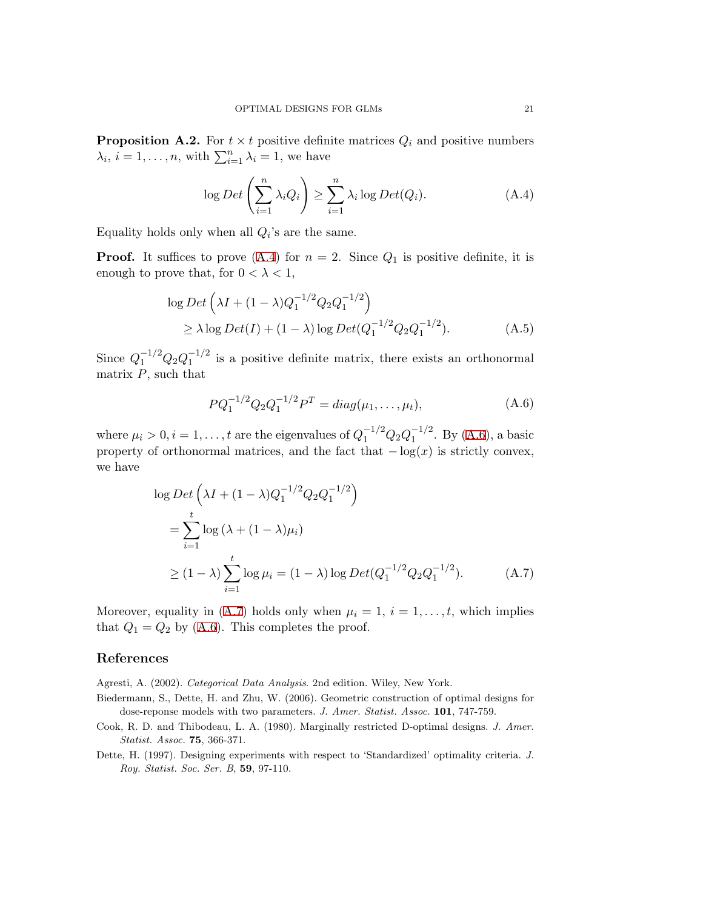**Proposition A.2.** For  $t \times t$  positive definite matrices  $Q_i$  and positive numbers  $\lambda_i$ ,  $i = 1, \ldots, n$ , with  $\sum_{i=1}^n \lambda_i = 1$ , we have

<span id="page-20-4"></span>
$$
\log Det\left(\sum_{i=1}^{n} \lambda_i Q_i\right) \ge \sum_{i=1}^{n} \lambda_i \log Det(Q_i). \tag{A.4}
$$

Equality holds only when all  $Q_i$ 's are the same.

**Proof.** It suffices to prove  $(A.4)$  for  $n = 2$ . Since  $Q_1$  is positive definite, it is enough to prove that, for  $0 < \lambda < 1$ ,

$$
\log Det \left( \lambda I + (1 - \lambda) Q_1^{-1/2} Q_2 Q_1^{-1/2} \right) \n\ge \lambda \log Det(I) + (1 - \lambda) \log Det(Q_1^{-1/2} Q_2 Q_1^{-1/2}).
$$
\n(A.5)

Since  $Q_1^{-1/2}Q_2Q_1^{-1/2}$  is a positive definite matrix, there exists an orthonormal matrix *P*, such that

<span id="page-20-5"></span>
$$
PQ_1^{-1/2}Q_2Q_1^{-1/2}P^T = diag(\mu_1, ..., \mu_t), \qquad (A.6)
$$

where  $\mu_i > 0, i = 1, \ldots, t$  are the eigenvalues of  $Q_1^{-1/2} Q_2 Q_1^{-1/2}$ . By [\(A.6\)](#page-20-5), a basic property of orthonormal matrices, and the fact that  $-\log(x)$  is strictly convex, we have

<span id="page-20-6"></span>
$$
\log Det \left( \lambda I + (1 - \lambda) Q_1^{-1/2} Q_2 Q_1^{-1/2} \right)
$$
  
= 
$$
\sum_{i=1}^t \log (\lambda + (1 - \lambda)\mu_i)
$$
  

$$
\ge (1 - \lambda) \sum_{i=1}^t \log \mu_i = (1 - \lambda) \log Det(Q_1^{-1/2} Q_2 Q_1^{-1/2}).
$$
 (A.7)

Moreover, equality in  $(A.7)$  $(A.7)$  $(A.7)$  holds only when  $\mu_i = 1, i = 1, \ldots, t$ , which implies that  $Q_1 = Q_2$  by ([A.6\)](#page-20-5). This completes the proof.

# **References**

<span id="page-20-2"></span>Agresti, A. (2002). *Categorical Data Analysis*. 2nd edition. Wiley, New York.

- <span id="page-20-0"></span>Biedermann, S., Dette, H. and Zhu, W. (2006). Geometric construction of optimal designs for dose-reponse models with two parameters. *J. Amer. Statist. Assoc.* **101**, 747-759.
- <span id="page-20-1"></span>Cook, R. D. and Thibodeau, L. A. (1980). Marginally restricted D-optimal designs. *J. Amer. Statist. Assoc.* **75**, 366-371.
- <span id="page-20-3"></span>Dette, H. (1997). Designing experiments with respect to 'Standardized' optimality criteria. *J. Roy. Statist. Soc. Ser. B*, **59**, 97-110.